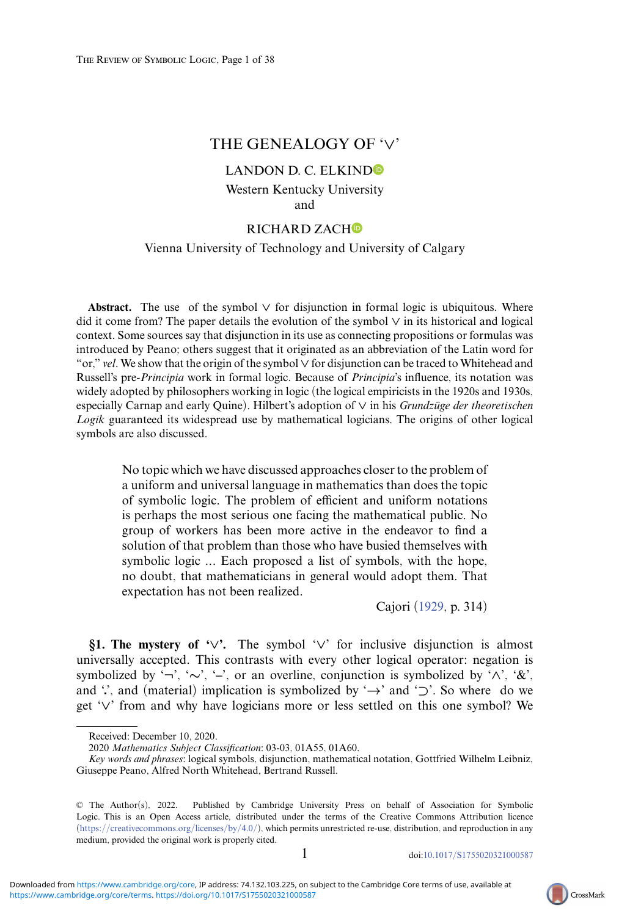# THE GENEALOGY OF '*∨*'

# LAN[D](https://orcid.org/0000-0003-0513-2937)ON D. C. ELKIND<sup>®</sup> Western Kentucky University and

# RIC[H](https://orcid.org/0000-0003-1633-8324)ARD ZACHO

### Vienna University of Technology and University of Calgary

**Abstract.** The use of the symbol *∨* for disjunction in formal logic is ubiquitous. Where did it come from? The paper details the evolution of the symbol *∨* in its historical and logical context. Some sources say that disjunction in its use as connecting propositions or formulas was introduced by Peano; others suggest that it originated as an abbreviation of the Latin word for "or," *vel*. We show that the origin of the symbol *∨* for disjunction can be traced to Whitehead and Russell's pre-*Principia* work in formal logic. Because of *Principia*'s influence, its notation was widely adopted by philosophers working in logic (the logical empiricists in the 1920s and 1930s, especially Carnap and early Quine). Hilbert's adoption of *∨* in his *Grundzuge der theoretischen ¨ Logik* guaranteed its widespread use by mathematical logicians. The origins of other logical symbols are also discussed.

No topic which we have discussed approaches closer to the problem of a uniform and universal language in mathematics than does the topic of symbolic logic. The problem of efficient and uniform notations is perhaps the most serious one facing the mathematical public. No group of workers has been more active in the endeavor to find a solution of that problem than those who have busied themselves with symbolic logic *...* Each proposed a list of symbols, with the hope, no doubt, that mathematicians in general would adopt them. That expectation has not been realized.

Cajori [\(1929,](#page-30-0) p. 314)

**§1. The mystery of '***∨***'.** The symbol '*∨*' for inclusive disjunction is almost universally accepted. This contrasts with every other logical operator: negation is symbolized by '*¬*', '*∼*', '**–**', or an overline, conjunction is symbolized by '*∧*', '&', and '', and (material) implication is symbolized by '→' and '⊃'. So where do we get '*∨*' from and why have logicians more or less settled on this one symbol? We



Received: December 10, 2020.

*<sup>2020</sup> Mathematics Subject Classification*: 03-03, 01A55, 01A60.

*Key words and phrases*: logical symbols, disjunction, mathematical notation, Gottfried Wilhelm Leibniz, Giuseppe Peano, Alfred North Whitehead, Bertrand Russell.

<sup>©</sup> The Author(s), 2022. Published by Cambridge University Press on behalf of Association for Symbolic Logic. This is an Open Access article, distributed under the terms of the Creative Commons Attribution licence [\(https://creativecommons.org/licenses/by/4.0/\)](https://creativecommons.org/licenses/by/4.0/), which permits unrestricted re-use, distribution, and reproduction in any medium, provided the original work is properly cited.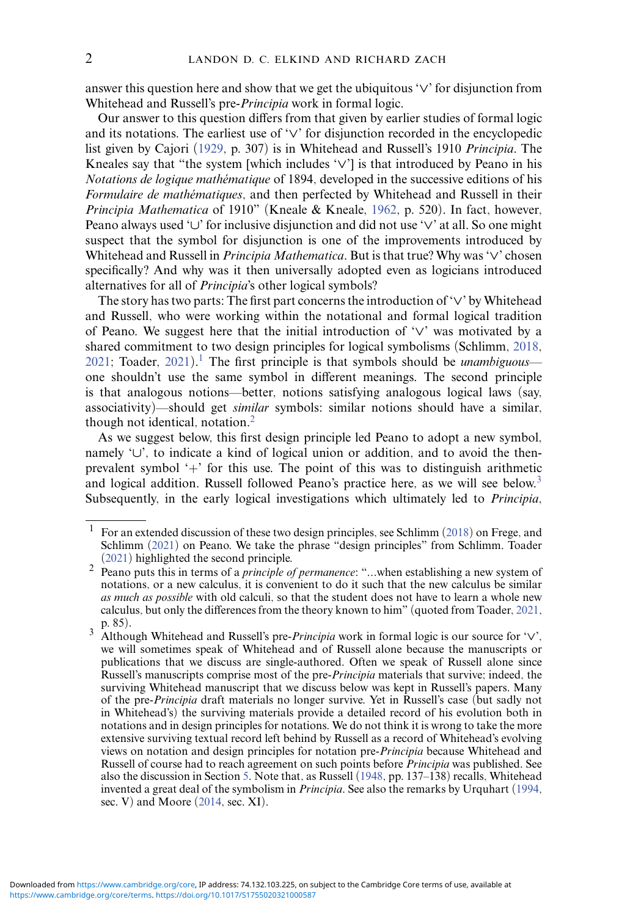answer this question here and show that we get the ubiquitous '*∨*' for disjunction from Whitehead and Russell's pre-*Principia* work in formal logic.

Our answer to this question differs from that given by earlier studies of formal logic and its notations. The earliest use of '*∨*' for disjunction recorded in the encyclopedic list given by Cajori [\(1929,](#page-30-0) p. 307) is in Whitehead and Russell's 1910 *Principia*. The Kneales say that "the system [which includes '*∨*'] is that introduced by Peano in his *Notations de logique mathématique* of 1894, developed in the successive editions of his *Formulaire de mathématiques*, and then perfected by Whitehead and Russell in their *Principia Mathematica* of 1910" (Kneale & Kneale, [1962,](#page-32-0) p. 520). In fact, however, Peano always used '*∪*' for inclusive disjunction and did not use '*∨*' at all. So one might suspect that the symbol for disjunction is one of the improvements introduced by Whitehead and Russell in *Principia Mathematica*. But is that true? Why was '*∨*' chosen specifically? And why was it then universally adopted even as logicians introduced alternatives for all of *Principia*'s other logical symbols?

The story has two parts: The first part concerns the introduction of '*∨*' by Whitehead and Russell, who were working within the notational and formal logical tradition of Peano. We suggest here that the initial introduction of '*∨*' was motivated by a shared commitment to two design principles for logical symbolisms (Schlimm, [2018,](#page-35-0) [2021;](#page-36-0) Toader, [2021\)](#page-36-1).<sup>1</sup> The first principle is that symbols should be *unambiguous* one shouldn't use the same symbol in different meanings. The second principle is that analogous notions—better, notions satisfying analogous logical laws (say, associativity)—should get *similar* symbols: similar notions should have a similar, though not identical, notation. $<sup>2</sup>$  $<sup>2</sup>$  $<sup>2</sup>$ </sup>

As we suggest below, this first design principle led Peano to adopt a new symbol, namely '*∪*', to indicate a kind of logical union or addition, and to avoid the thenprevalent symbol '+' for this use. The point of this was to distinguish arithmetic and logical addition. Russell followed Peano's practice here, as we will see below.<sup>3</sup> Subsequently, in the early logical investigations which ultimately led to *Principia*,

<span id="page-1-0"></span><sup>1</sup> For an extended discussion of these two design principles, see Schlimm [\(2018\)](#page-35-0) on Frege, and Schlimm [\(2021\)](#page-36-0) on Peano. We take the phrase "design principles" from Schlimm. Toader (2021) highlighted the second principle.

<span id="page-1-1"></span><sup>&</sup>lt;sup>2</sup> Peano puts this in terms of a *principle of permanence*: "*...*when establishing a new system of notations, or a new calculus, it is convenient to do it such that the new calculus be similar *as much as possible* with old calculi, so that the student does not have to learn a whole new calculus, but only the differences from the theory known to him" (quoted from Toader, [2021,](#page-36-1)

<span id="page-1-2"></span>p. 85). <sup>3</sup> Although Whitehead and Russell's pre-*Principia* work in formal logic is our source for '*∨*', we will sometimes speak of Whitehead and of Russell alone because the manuscripts or publications that we discuss are single-authored. Often we speak of Russell alone since Russell's manuscripts comprise most of the pre-*Principia* materials that survive; indeed, the surviving Whitehead manuscript that we discuss below was kept in Russell's papers. Many of the pre-*Principia* draft materials no longer survive. Yet in Russell's case (but sadly not in Whitehead's) the surviving materials provide a detailed record of his evolution both in notations and in design principles for notations. We do not think it is wrong to take the more extensive surviving textual record left behind by Russell as a record of Whitehead's evolving views on notation and design principles for notation pre-*Principia* because Whitehead and Russell of course had to reach agreement on such points before *Principia* was published. See also the discussion in Section [5.](#page-12-0) Note that, as Russell [\(1948,](#page-35-1) pp. 137–138) recalls, Whitehead invented a great deal of the symbolism in *Principia*. See also the remarks by Urquhart [\(1994,](#page-36-2) sec. V) and Moore [\(2014,](#page-33-0) sec. XI).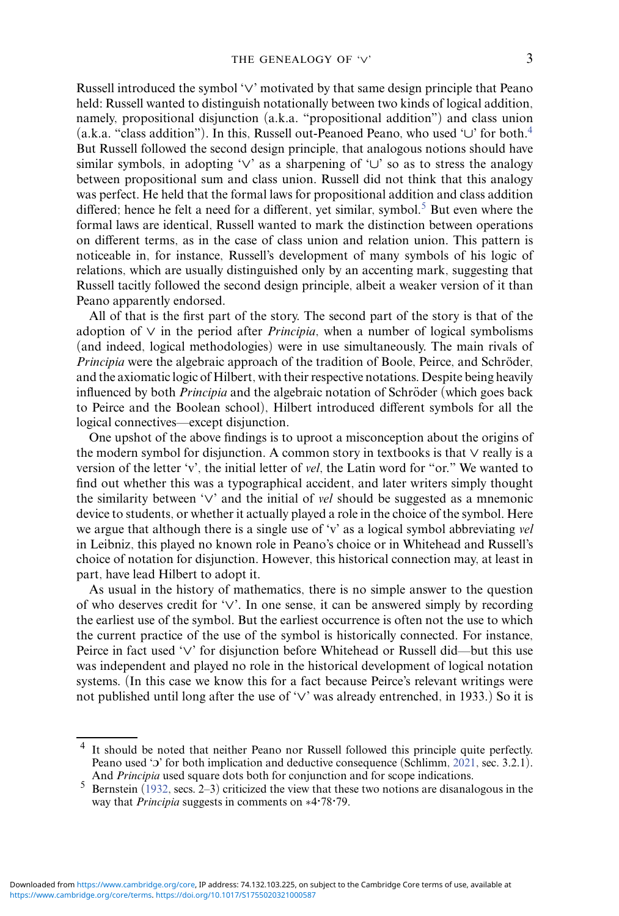Russell introduced the symbol '*∨*' motivated by that same design principle that Peano held: Russell wanted to distinguish notationally between two kinds of logical addition, namely, propositional disjunction (a.k.a. "propositional addition") and class union (a.k.a. "class addition"). In this, Russell out-Peanoed Peano, who used '*∪*' for both[.4](#page-2-0) But Russell followed the second design principle, that analogous notions should have similar symbols, in adopting '*∨*' as a sharpening of '*∪*' so as to stress the analogy between propositional sum and class union. Russell did not think that this analogy was perfect. He held that the formal laws for propositional addition and class addition differed; hence he felt a need for a different, yet similar, symbol.<sup>[5](#page-2-1)</sup> But even where the formal laws are identical, Russell wanted to mark the distinction between operations on different terms, as in the case of class union and relation union. This pattern is noticeable in, for instance, Russell's development of many symbols of his logic of relations, which are usually distinguished only by an accenting mark, suggesting that Russell tacitly followed the second design principle, albeit a weaker version of it than

All of that is the first part of the story. The second part of the story is that of the adoption of *∨* in the period after *Principia*, when a number of logical symbolisms (and indeed, logical methodologies) were in use simultaneously. The main rivals of *Principia* were the algebraic approach of the tradition of Boole, Peirce, and Schröder, and the axiomatic logic of Hilbert, with their respective notations. Despite being heavily influenced by both *Principia* and the algebraic notation of Schröder (which goes back to Peirce and the Boolean school), Hilbert introduced different symbols for all the logical connectives—except disjunction.

Peano apparently endorsed.

One upshot of the above findings is to uproot a misconception about the origins of the modern symbol for disjunction. A common story in textbooks is that *∨* really is a version of the letter 'v', the initial letter of *vel*, the Latin word for "or." We wanted to find out whether this was a typographical accident, and later writers simply thought the similarity between '*∨*' and the initial of *vel* should be suggested as a mnemonic device to students, or whether it actually played a role in the choice of the symbol. Here we argue that although there is a single use of 'v' as a logical symbol abbreviating *vel* in Leibniz, this played no known role in Peano's choice or in Whitehead and Russell's choice of notation for disjunction. However, this historical connection may, at least in part, have lead Hilbert to adopt it.

As usual in the history of mathematics, there is no simple answer to the question of who deserves credit for '*∨*'. In one sense, it can be answered simply by recording the earliest use of the symbol. But the earliest occurrence is often not the use to which the current practice of the use of the symbol is historically connected. For instance, Peirce in fact used '*∨*' for disjunction before Whitehead or Russell did—but this use was independent and played no role in the historical development of logical notation systems. (In this case we know this for a fact because Peirce's relevant writings were not published until long after the use of '*∨*' was already entrenched, in 1933.) So it is

<span id="page-2-0"></span><sup>4</sup> It should be noted that neither Peano nor Russell followed this principle quite perfectly. Peano used '3' for both implication and deductive consequence (Schlimm, [2021,](#page-36-0) sec. 3.2.1).

<span id="page-2-1"></span>And *Principia* used square dots both for conjunction and for scope indications.<br>5 Bernstein [\(1932,](#page-30-1) secs. 2–3) criticized the view that these two notions are disanalogous in the way that *Principia* suggests in comments on ∗4*·*78*·*79.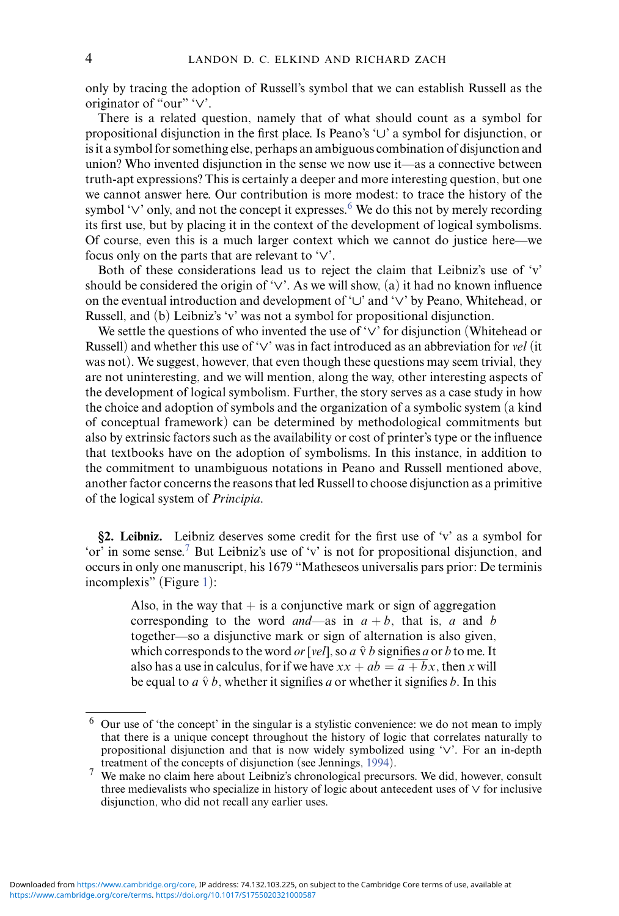only by tracing the adoption of Russell's symbol that we can establish Russell as the originator of "our" '*∨*'.

There is a related question, namely that of what should count as a symbol for propositional disjunction in the first place. Is Peano's '*∪*' a symbol for disjunction, or is it a symbol for something else, perhaps an ambiguous combination of disjunction and union? Who invented disjunction in the sense we now use it—as a connective between truth-apt expressions? This is certainly a deeper and more interesting question, but one we cannot answer here. Our contribution is more modest: to trace the history of the symbol ' $\vee$ ' only, and not the concept it expresses.<sup>6</sup> We do this not by merely recording its first use, but by placing it in the context of the development of logical symbolisms. Of course, even this is a much larger context which we cannot do justice here—we focus only on the parts that are relevant to '*∨*'.

Both of these considerations lead us to reject the claim that Leibniz's use of 'v' should be considered the origin of '*∨*'. As we will show, (a) it had no known influence on the eventual introduction and development of '*∪*' and '*∨*' by Peano, Whitehead, or Russell, and (b) Leibniz's 'v' was not a symbol for propositional disjunction.

We settle the questions of who invented the use of '*∨*' for disjunction (Whitehead or Russell) and whether this use of '*∨*' was in fact introduced as an abbreviation for *vel* (it was not). We suggest, however, that even though these questions may seem trivial, they are not uninteresting, and we will mention, along the way, other interesting aspects of the development of logical symbolism. Further, the story serves as a case study in how the choice and adoption of symbols and the organization of a symbolic system (a kind of conceptual framework) can be determined by methodological commitments but also by extrinsic factors such as the availability or cost of printer's type or the influence that textbooks have on the adoption of symbolisms. In this instance, in addition to the commitment to unambiguous notations in Peano and Russell mentioned above, another factor concerns the reasons that led Russell to choose disjunction as a primitive of the logical system of *Principia*.

**§2. Leibniz.** Leibniz deserves some credit for the first use of 'v' as a symbol for 'or' in some sense.<sup>[7](#page-3-1)</sup> But Leibniz's use of 'v' is not for propositional disjunction, and occurs in only one manuscript, his 1679 "Matheseos universalis pars prior: De terminis incomplexis" (Figure [1\)](#page-4-0):

Also, in the way that  $+$  is a conjunctive mark or sign of aggregation corresponding to the word *and*—as in  $a + b$ , that is, *a* and *b* together—so a disjunctive mark or sign of alternation is also given, which corresponds to the word *or* [*vel*], so  $a \hat{v} b$  signifies  $a$  or  $b$  to me. It also has a use in calculus, for if we have  $xx + ab = \overline{a + bx}$ , then *x* will be equal to  $a \hat{v} b$ , whether it signifies a or whether it signifies b. In this

<span id="page-3-0"></span><sup>6</sup> Our use of 'the concept' in the singular is a stylistic convenience: we do not mean to imply that there is a unique concept throughout the history of logic that correlates naturally to propositional disjunction and that is now widely symbolized using '*∨*'. For an in-depth treatment of the concepts of disjunction (see Jennings, [1994\)](#page-32-1).

<span id="page-3-1"></span><sup>7</sup> We make no claim here about Leibniz's chronological precursors. We did, however, consult three medievalists who specialize in history of logic about antecedent uses of *∨* for inclusive disjunction, who did not recall any earlier uses.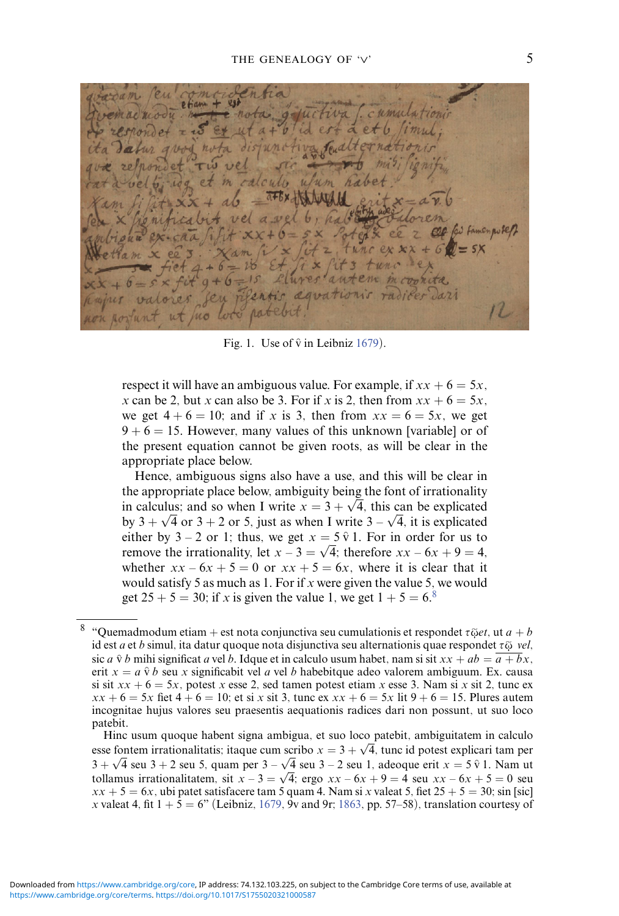<span id="page-4-0"></span> $714a$  $9 + 6$  $15$ Llures aute Jari dowations no

Fig. 1. Use of  $\hat{v}$  in Leibniz [1679\)](#page-32-2).

respect it will have an ambiguous value. For example, if  $xx + 6 = 5x$ , *x* can be 2, but *x* can also be 3. For if *x* is 2, then from  $xx + 6 = 5x$ , we get  $4 + 6 = 10$ ; and if *x* is 3, then from  $xx = 6 = 5x$ , we get  $9 + 6 = 15$ . However, many values of this unknown [variable] or of the present equation cannot be given roots, as will be clear in the appropriate place below.

Hence, ambiguous signs also have a use, and this will be clear in the appropriate place below, ambiguity being the font of irrationality the appropriate place below, ambiguity being the foli of irrationality<br>in calculus; and so when I write  $x = 3 + \sqrt{4}$ , this can be explicated by  $3 + \sqrt{4}$  or  $3 + 2$  or 5, just as when I write  $3 - \sqrt{4}$ , it is explicated by  $3 + \sqrt{4}$  or  $3 + 2$  or 5, just as when I write  $3 - \sqrt{4}$ , it is explicated either by  $3 - 2$  or 1; thus, we get  $x = 5 \hat{v}$  1. For in order for us to remove the irrationality, let  $x - 3 = \sqrt{4}$ ; therefore  $xx - 6x + 9 = 4$ , whether  $xx - 6x + 5 = 0$  or  $xx + 5 = 6x$ , where it is clear that it would satisfy 5 as much as 1. For if *x* were given the value 5, we would get  $25 + 5 = 30$ ; if *x* is given the value 1, we get  $1 + 5 = 6$ .<sup>8</sup>

<span id="page-4-1"></span> $8$  "Quemadmodum etiam + est nota conjunctiva seu cumulationis et respondet  $\tau \tilde{\varphi}et$ , ut  $a + b$ id est *a* et *b* simul, ita datur quoque nota disjunctiva seu alternationis quae respondet *-*ῷ *vel*, sic *a*  $\hat{v}$  *b* mihi significat *a* vel *b*. Idque et in calculo usum habet, nam si sit  $xx + ab = \overline{a + bx}$ . erit  $x = a \hat{v} b$  seu *x* significabit vel *a* vel *b* habebitque adeo valorem ambiguum. Ex. causa si sit  $xx + 6 = 5x$ , potest *x* esse 2, sed tamen potest etiam *x* esse 3. Nam si *x* sit 2, tunc ex  $xx + 6 = 5x$  fiet  $4 + 6 = 10$ ; et si *x* sit 3, tunc ex  $xx + 6 = 5x$  lit  $9 + 6 = 15$ . Plures autem incognitae hujus valores seu praesentis aequationis radices dari non possunt, ut suo loco patebit.

Hinc usum quoque habent signa ambigua, et suo loco patebit, ambiguitatem in calculo esse fontem irrationalitatis; itaque cum scribo  $x = 3 + \sqrt{4}$ , tunc id potest explicari tam per  $3 + \sqrt{4}$  seu 3 + 2 seu 5, quam per  $3 - \sqrt{4}$  seu 3 – 2 seu 1, adeoque erit  $x = 5 \hat{v}$  1. Nam ut tollamus irrationalitatem, sit  $x - 3 = \sqrt{4}$ ; ergo  $xx - 6x + 9 = 4$  seu  $xx - 6x + 5 = 0$  seu  $xx + 5 = 6x$ , ubi patet satisfacere tam 5 quam 4. Nam si *x* valeat 5, fiet  $25 + 5 = 30$ ; sin [sic] *x* valeat 4, fit  $1 + 5 = 6$ " (Leibniz, [1679,](#page-32-2) 9v and 9r; [1863,](#page-32-3) pp. 57–58), translation courtesy of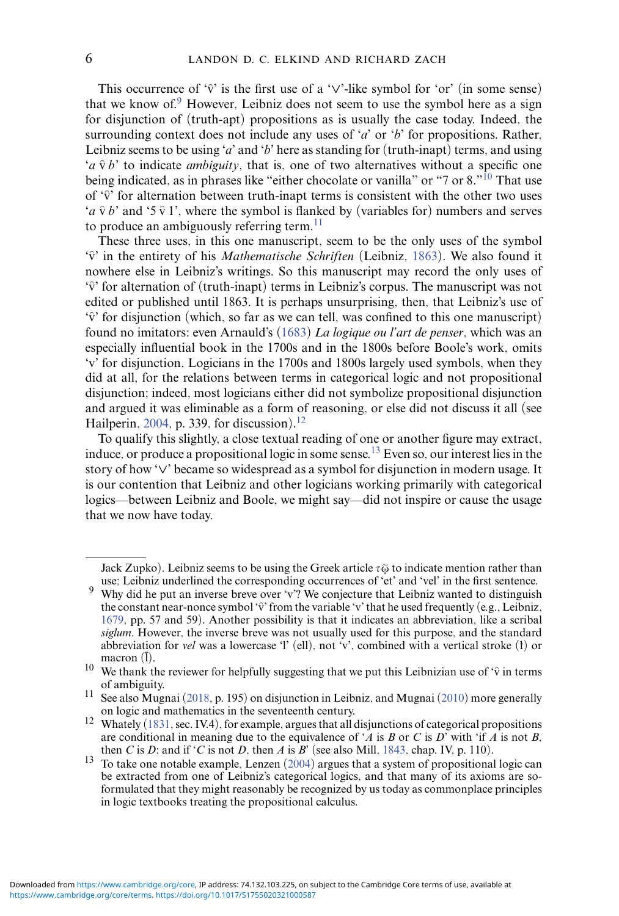This occurrence of ' $\hat{v}$ ' is the first use of a ' $\vee$ '-like symbol for 'or' (in some sense) that we know of. $9$  However, Leibniz does not seem to use the symbol here as a sign for disjunction of (truth-apt) propositions as is usually the case today. Indeed, the surrounding context does not include any uses of '*a*' or '*b*' for propositions. Rather, Leibniz seems to be using '*a*' and '*b*' here as standing for (truth-inapt) terms, and using '*a*  $\hat{v}$  *b*' to indicate *ambiguity*, that is, one of two alternatives without a specific one being indicated, as in phrases like "either chocolate or vanilla" or "7 or  $8.^{10}$  That use of ' $\hat{v}$ ' for alternation between truth-inapt terms is consistent with the other two uses '*a*  $\hat{v}$  *b*' and '5  $\hat{v}$  1', where the symbol is flanked by (variables for) numbers and serves to produce an ambiguously referring term. $^{11}$  $^{11}$  $^{11}$ 

These three uses, in this one manuscript, seem to be the only uses of the symbol  $\hat{v}$  in the entirety of his *Mathematische Schriften* (Leibniz, [1863\)](#page-32-3). We also found it nowhere else in Leibniz's writings. So this manuscript may record the only uses of  $\hat{v}$  for alternation of (truth-inapt) terms in Leibniz's corpus. The manuscript was not edited or published until 1863. It is perhaps unsurprising, then, that Leibniz's use of  $\hat{v}$  for disjunction (which, so far as we can tell, was confined to this one manuscript) found no imitators: even Arnauld's [\(1683\)](#page-30-2) *La logique ou l'art de penser*, which was an especially influential book in the 1700s and in the 1800s before Boole's work, omits 'v' for disjunction. Logicians in the 1700s and 1800s largely used symbols, when they did at all, for the relations between terms in categorical logic and not propositional disjunction; indeed, most logicians either did not symbolize propositional disjunction and argued it was eliminable as a form of reasoning, or else did not discuss it all (see Hailperin, [2004,](#page-31-0) p. 339, for discussion).<sup>12</sup>

To qualify this slightly, a close textual reading of one or another figure may extract, induce, or produce a propositional logic in some sense.<sup>13</sup> Even so, our interest lies in the story of how '*∨*' became so widespread as a symbol for disjunction in modern usage. It is our contention that Leibniz and other logicians working primarily with categorical logics—between Leibniz and Boole, we might say—did not inspire or cause the usage that we now have today.

Jack Zupko). Leibniz seems to be using the Greek article *-*ῷ to indicate mention rather than use; Leibniz underlined the corresponding occurrences of 'et' and 'vel' in the first sentence. <sup>9</sup> Why did he put an inverse breve over 'v'? We conjecture that Leibniz wanted to distinguish

<span id="page-5-0"></span>the constant near-nonce symbol ' $\hat{v}$ ' from the variable 'v' that he used frequently (e.g., Leibniz, [1679,](#page-32-2) pp. 57 and 59). Another possibility is that it indicates an abbreviation, like a scribal *siglum*. However, the inverse breve was not usually used for this purpose, and the standard abbreviation for *vel* was a lowercase 'l' (ell), not 'v', combined with a vertical stroke (f) or macron  $(\overline{l})$ .

<span id="page-5-1"></span><sup>&</sup>lt;sup>10</sup> We thank the reviewer for helpfully suggesting that we put this Leibnizian use of ' $\hat{v}$  in terms

<span id="page-5-2"></span>of ambiguity.<br>
11 See also Mugnai [\(2018,](#page-33-1) p. 195) on disjunction in Leibniz, and Mugnai [\(2010\)](#page-33-2) more generally<br>
11 See also Mugnai (2018, p. 195) on disjunction in Leibniz, and Mugnai (2010) more generally<br>
11 See also Mugn

<span id="page-5-3"></span><sup>&</sup>lt;sup>12</sup> Whately [\(1831,](#page-36-3) sec. IV.4), for example, argues that all disjunctions of categorical propositions are conditional in meaning due to the equivalence of '*A* is *B* or *C* is *D*' with 'if *A* is not *B*, then *C* is *D*; and if '*C* is not *D*, then *A* is *B*' (see also Mill, 1843, chap. IV, p. 110).

<span id="page-5-4"></span><sup>&</sup>lt;sup>13</sup> To take one notable example, Lenzen [\(2004\)](#page-33-4) argues that a system of propositional logic can be extracted from one of Leibniz's categorical logics, and that many of its axioms are soformulated that they might reasonably be recognized by us today as commonplace principles in logic textbooks treating the propositional calculus.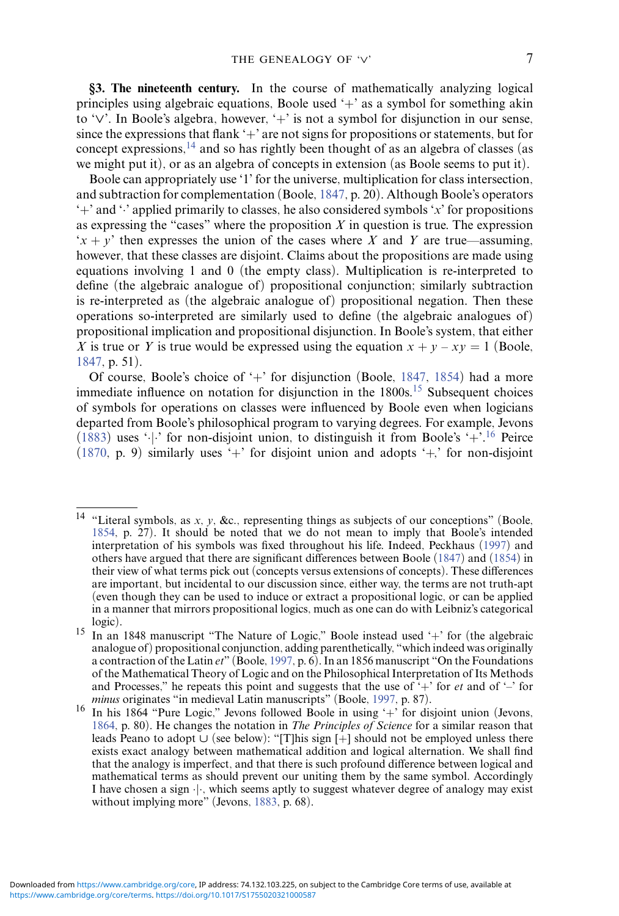**§3. The nineteenth century.** In the course of mathematically analyzing logical principles using algebraic equations, Boole used  $+$  as a symbol for something akin to '*∨*'. In Boole's algebra, however, '+' is not a symbol for disjunction in our sense, since the expressions that flank '+' are not signs for propositions or statements, but for concept expressions,  $^{14}$  $^{14}$  $^{14}$  and so has rightly been thought of as an algebra of classes (as we might put it), or as an algebra of concepts in extension (as Boole seems to put it).

Boole can appropriately use '1' for the universe, multiplication for class intersection, and subtraction for complementation (Boole, [1847,](#page-30-3) p. 20). Although Boole's operators '+' and '·' applied primarily to classes, he also considered symbols '*x*' for propositions as expressing the "cases" where the proposition *X* in question is true. The expression  $x + y'$  then expresses the union of the cases where *X* and *Y* are true—assuming, however, that these classes are disjoint. Claims about the propositions are made using equations involving 1 and 0 (the empty class). Multiplication is re-interpreted to define (the algebraic analogue of) propositional conjunction; similarly subtraction is re-interpreted as (the algebraic analogue of) propositional negation. Then these operations so-interpreted are similarly used to define (the algebraic analogues of) propositional implication and propositional disjunction. In Boole's system, that either *X* is true or *Y* is true would be expressed using the equation  $x + y - xy = 1$  (Boole, [1847,](#page-30-3) p. 51).

Of course, Boole's choice of  $+$  for disjunction (Boole, [1847,](#page-30-3) [1854\)](#page-30-4) had a more immediate influence on notation for disjunction in the 1800s.<sup>15</sup> Subsequent choices of symbols for operations on classes were influenced by Boole even when logicians departed from Boole's philosophical program to varying degrees. For example, Jevons [\(1883\)](#page-32-4) uses  $\cdot \cdot$ . for non-disjoint union, to distinguish it from Boole's  $\cdot + \cdot$ . <sup>16</sup> Peirce [\(1870,](#page-34-0) p. 9) similarly uses '+' for disjoint union and adopts '+*,*' for non-disjoint

<span id="page-6-0"></span><sup>14</sup> "Literal symbols, as *x*, *y*, &c., representing things as subjects of our conceptions" (Boole, [1854,](#page-30-4) p. 27). It should be noted that we do not mean to imply that Boole's intended interpretation of his symbols was fixed throughout his life. Indeed, Peckhaus [\(1997\)](#page-34-1) and others have argued that there are significant differences between Boole [\(1847\)](#page-30-3) and [\(1854\)](#page-30-4) in their view of what terms pick out (concepts versus extensions of concepts). These differences are important, but incidental to our discussion since, either way, the terms are not truth-apt (even though they can be used to induce or extract a propositional logic, or can be applied in a manner that mirrors propositional logics, much as one can do with Leibniz's categorical

<span id="page-6-1"></span><sup>&</sup>lt;sup>15</sup> In an 1848 manuscript "The Nature of Logic," Boole instead used '+' for (the algebraic analogue of) propositional conjunction, adding parenthetically, "which indeed was originally a contraction of the Latin *et*" (Boole, [1997,](#page-30-5) p. 6). In an 1856 manuscript "On the Foundations of the Mathematical Theory of Logic and on the Philosophical Interpretation of Its Methods and Processes," he repeats this point and suggests that the use of  $+$ " for *et* and of  $-$ " for *minus* originates "in medieval Latin manuscripts" (Boole, 1997, p. 87).

<span id="page-6-2"></span><sup>&</sup>lt;sup>16</sup> In his 1864 "Pure Logic," Jevons followed Boole in using '+' for disjoint union (Jevons, [1864,](#page-32-5) p. 80). He changes the notation in *The Principles of Science* for a similar reason that leads Peano to adopt *∪* (see below): "[T]his sign [+] should not be employed unless there exists exact analogy between mathematical addition and logical alternation. We shall find that the analogy is imperfect, and that there is such profound difference between logical and mathematical terms as should prevent our uniting them by the same symbol. Accordingly I have chosen a sign ·|·, which seems aptly to suggest whatever degree of analogy may exist without implying more" (Jevons, [1883,](#page-32-4) p. 68).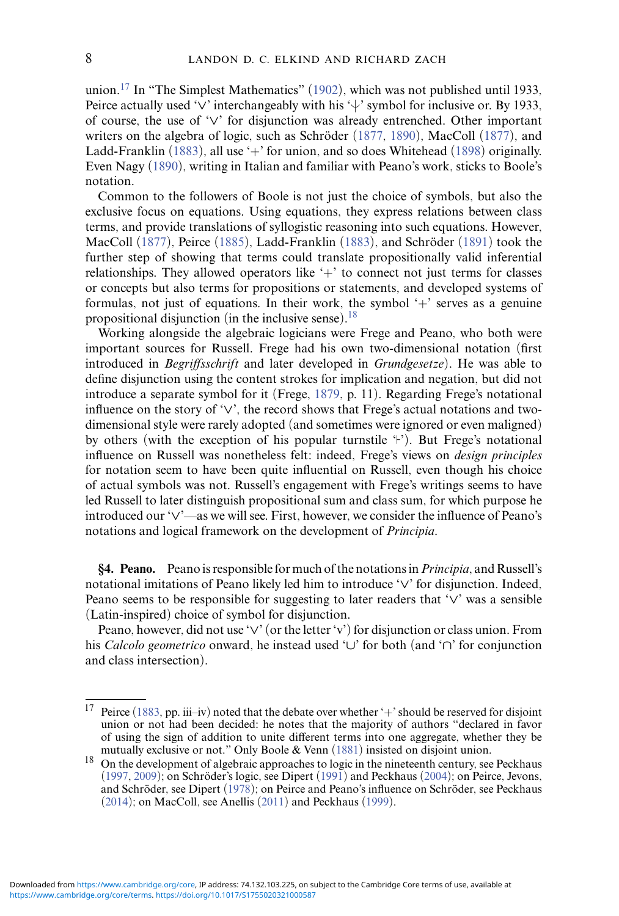union.<sup>17</sup> In "The Simplest Mathematics" [\(1902\)](#page-34-2), which was not published until 1933, Peirce actually used '∨' interchangeably with his ' $\downarrow$ ' symbol for inclusive or. By 1933, of course, the use of '*∨*' for disjunction was already entrenched. Other important writers on the algebra of logic, such as Schröder  $(1877, 1890)$  $(1877, 1890)$  $(1877, 1890)$  $(1877, 1890)$ , MacColl  $(1877)$ , and Ladd-Franklin [\(1883\)](#page-32-6), all use '+' for union, and so does Whitehead [\(1898\)](#page-36-6) originally. Even Nagy [\(1890\)](#page-33-6), writing in Italian and familiar with Peano's work, sticks to Boole's notation.

Common to the followers of Boole is not just the choice of symbols, but also the exclusive focus on equations. Using equations, they express relations between class terms, and provide translations of syllogistic reasoning into such equations. However, MacColl  $(1877)$ , Peirce  $(1885)$ , Ladd-Franklin  $(1883)$ , and Schröder  $(1891)$  $(1891)$  took the further step of showing that terms could translate propositionally valid inferential relationships. They allowed operators like  $+$  to connect not just terms for classes or concepts but also terms for propositions or statements, and developed systems of formulas, not just of equations. In their work, the symbol  $+$  serves as a genuine propositional disjunction (in the inclusive sense).[18](#page-7-1)

Working alongside the algebraic logicians were Frege and Peano, who both were important sources for Russell. Frege had his own two-dimensional notation (first introduced in *Begriffsschrift* and later developed in *Grundgesetze*). He was able to define disjunction using the content strokes for implication and negation, but did not introduce a separate symbol for it (Frege, [1879,](#page-30-6) p. 11). Regarding Frege's notational influence on the story of '*∨*', the record shows that Frege's actual notations and twodimensional style were rarely adopted (and sometimes were ignored or even maligned) by others (with the exception of his popular turnstile 't'). But Frege's notational influence on Russell was nonetheless felt: indeed, Frege's views on *design principles* for notation seem to have been quite influential on Russell, even though his choice of actual symbols was not. Russell's engagement with Frege's writings seems to have led Russell to later distinguish propositional sum and class sum, for which purpose he introduced our '*∨*'—as we will see. First, however, we consider the influence of Peano's notations and logical framework on the development of *Principia*.

**§4. Peano.** Peano is responsible for much of the notations in*Principia*, and Russell's notational imitations of Peano likely led him to introduce '*∨*' for disjunction. Indeed, Peano seems to be responsible for suggesting to later readers that '*∨*' was a sensible (Latin-inspired) choice of symbol for disjunction.

Peano, however, did not use '*∨*' (or the letter 'v') for disjunction or class union. From his *Calcolo geometrico* onward, he instead used '*∪*' for both (and '*∩*' for conjunction and class intersection).

<span id="page-7-0"></span><sup>&</sup>lt;sup>17</sup> Peirce [\(1883,](#page-34-4) pp. iii–iv) noted that the debate over whether '+' should be reserved for disjoint union or not had been decided: he notes that the majority of authors "declared in favor of using the sign of addition to unite different terms into one aggregate, whether they be mutually exclusive or not." Only Boole  $\&$  Venn (1881) insisted on disjoint union.

<span id="page-7-1"></span> $18$  On the development of algebraic approaches to logic in the nineteenth century, see Peckhaus  $(1997, 2009)$  $(1997, 2009)$  $(1997, 2009)$ ; on Schröder's logic, see Dipert  $(1991)$  $(1991)$  and Peckhaus  $(2004)$ ; on Peirce, Jevons, and Schröder, see Dipert ([1978\)](#page-30-8); on Peirce and Peano's influence on Schröder, see Peckhaus [\(2014\)](#page-34-7); on MacColl, see Anellis [\(2011\)](#page-29-0) and Peckhaus [\(1999\)](#page-34-8).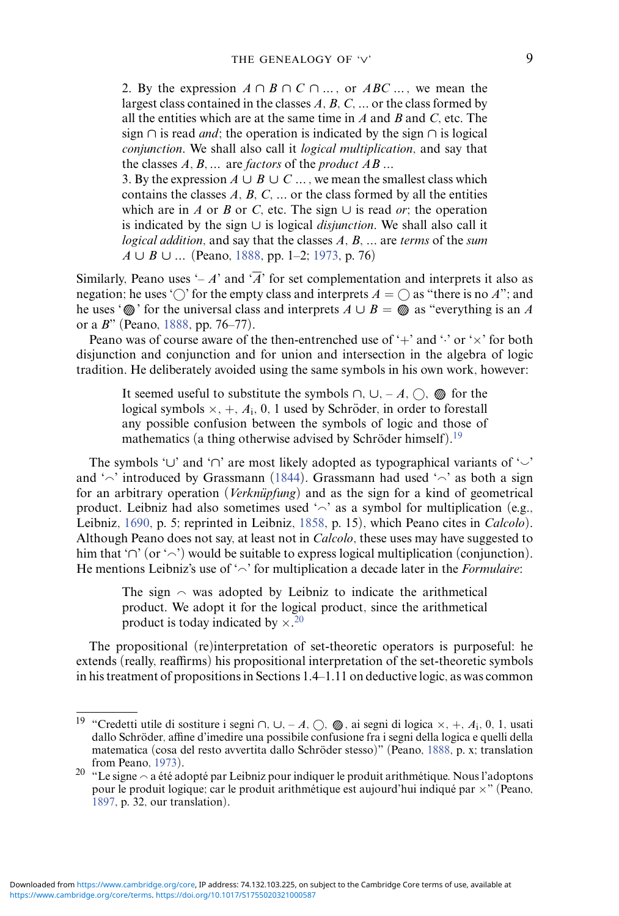2. By the expression  $A \cap B \cap C \cap ...$ , or  $ABC \dots$ , we mean the largest class contained in the classes *A*, *B*, *C*, *...* or the class formed by all the entities which are at the same time in *A* and *B* and *C*, etc. The sign *∩* is read *and*; the operation is indicated by the sign *∩* is logical *conjunction*. We shall also call it *logical multiplication*, and say that the classes *A, B, ...* are *factors* of the *product AB ...*

3. By the expression  $A \cup B \cup C \dots$ , we mean the smallest class which contains the classes  $A$ ,  $B$ ,  $C$ ,  $\ldots$  or the class formed by all the entities which are in *A* or *B* or *C*, etc. The sign  $\cup$  is read *or*; the operation is indicated by the sign *∪* is logical *disjunction*. We shall also call it *logical addition*, and say that the classes *A*, *B*, *...* are *terms* of the *sum A ∪ B ∪ ...* (Peano, [1888,](#page-33-7) pp. 1–2; [1973,](#page-34-9) p. 76)

Similarly, Peano uses  $\div A$  and  $\overline{A}$  for set complementation and interprets it also as negation; he uses ' $\bigcirc$ ' for the empty class and interprets  $A = \bigcirc$  as "there is no *A*"; and he uses ' $\mathbb{Q}$ ' for the universal class and interprets  $A \cup B = \mathbb{Q}$  as "everything is an A or a *B*" (Peano, [1888,](#page-33-7) pp. 76–77).

Peano was of course aware of the then-entrenched use of  $+$  and  $\cdot$  or  $\times$  for both disjunction and conjunction and for union and intersection in the algebra of logic tradition. He deliberately avoided using the same symbols in his own work, however:

It seemed useful to substitute the symbols  $\cap$ ,  $\cup$ ,  $\neg$  *A*,  $\cap$ ,  for the logical symbols  $\times$ , +,  $A_i$ , 0, 1 used by Schröder, in order to forestall any possible confusion between the symbols of logic and those of mathematics (a thing otherwise advised by Schröder himself).<sup>[19](#page-8-0)</sup>

The symbols '∪' and '∩' are most likely adopted as typographical variants of '<sub>></sub> and ' $\sim$ ' introduced by Grassmann [\(1844\)](#page-31-1). Grassmann had used ' $\sim$ ' as both a sign for an arbitrary operation (*Verknüpfung*) and as the sign for a kind of geometrical product. Leibniz had also sometimes used ' $\sim$ ' as a symbol for multiplication (e.g., Leibniz, [1690,](#page-32-7) p. 5; reprinted in Leibniz, [1858,](#page-32-8) p. 15), which Peano cites in *Calcolo*). Although Peano does not say, at least not in *Calcolo*, these uses may have suggested to him that '∩' (or '⌒') would be suitable to express logical multiplication (conjunction). He mentions Leibniz's use of  $\sim$  for multiplication a decade later in the *Formulaire*:

The sign  $\sim$  was adopted by Leibniz to indicate the arithmetical product. We adopt it for the logical product, since the arithmetical product is today indicated by  $\times$ .<sup>[20](#page-8-1)</sup>

The propositional (re)interpretation of set-theoretic operators is purposeful: he extends (really, reaffirms) his propositional interpretation of the set-theoretic symbols in his treatment of propositions in Sections 1.4–1.11 on deductive logic, as was common

<span id="page-8-0"></span><sup>19</sup> "Credetti utile di sostiture i segni *<sup>∩</sup>*, *<sup>∪</sup>*, – *<sup>A</sup>*, , ◍, ai segni di logica <sup>×</sup>, +, *<sup>A</sup>*i, 0, 1, usati dallo Schröder, affine d'imedire una possibile confusione fra i segni della logica e quelli della matematica (cosa del resto avvertita dallo Schröder stesso)" (Peano, [1888,](#page-33-7) p. x; translation from Peano, 1973).

<span id="page-8-1"></span><sup>&</sup>lt;sup>20</sup> "Le signe  $\sim$  a été adopté par Leibniz pour indiquer le produit arithmétique. Nous l'adoptons pour le produit logique; car le produit arithmétique est aujourd'hui indiqué par  $\times$ " (Peano, [1897,](#page-34-10) p. 32, our translation).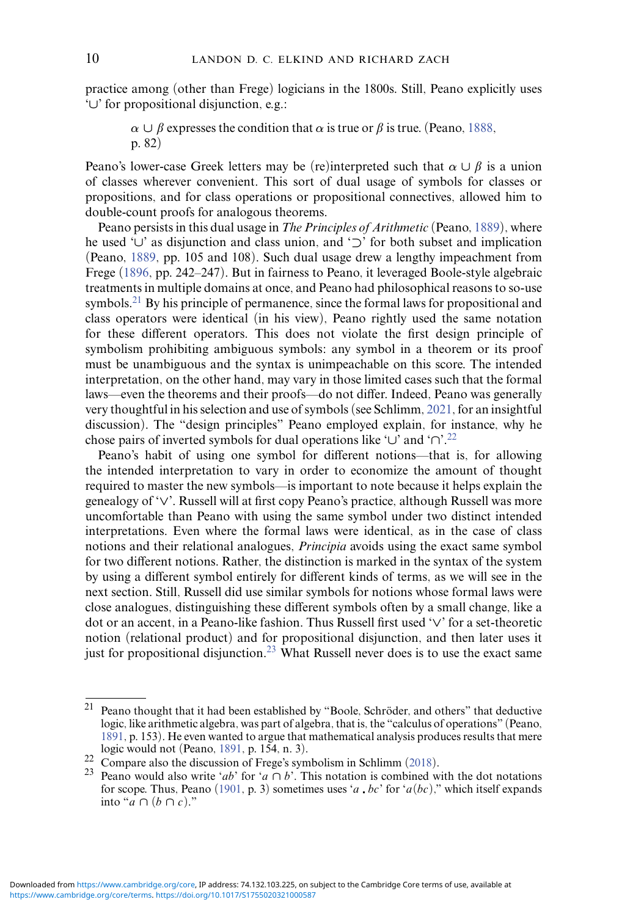practice among (other than Frege) logicians in the 1800s. Still, Peano explicitly uses '*∪*' for propositional disjunction, e.g.:

 $\alpha \cup \beta$  expresses the condition that  $\alpha$  is true or  $\beta$  is true. (Peano, [1888,](#page-33-7) p. 82)

Peano's lower-case Greek letters may be (re)interpreted such that  $\alpha \cup \beta$  is a union of classes wherever convenient. This sort of dual usage of symbols for classes or propositions, and for class operations or propositional connectives, allowed him to double-count proofs for analogous theorems.

Peano persists in this dual usage in *The Principles of Arithmetic* (Peano, [1889\)](#page-34-11), where he used '*∪*' as disjunction and class union, and '*⊃*' for both subset and implication (Peano, [1889,](#page-34-11) pp. 105 and 108). Such dual usage drew a lengthy impeachment from Frege [\(1896,](#page-31-2) pp. 242–247). But in fairness to Peano, it leveraged Boole-style algebraic treatments in multiple domains at once, and Peano had philosophical reasons to so-use symbols.<sup>21</sup> By his principle of permanence, since the formal laws for propositional and class operators were identical (in his view), Peano rightly used the same notation for these different operators. This does not violate the first design principle of symbolism prohibiting ambiguous symbols: any symbol in a theorem or its proof must be unambiguous and the syntax is unimpeachable on this score. The intended interpretation, on the other hand, may vary in those limited cases such that the formal laws—even the theorems and their proofs—do not differ. Indeed, Peano was generally very thoughtful in his selection and use of symbols (see Schlimm, [2021,](#page-36-0) for an insightful discussion). The "design principles" Peano employed explain, for instance, why he chose pairs of inverted symbols for dual operations like '*∪*' and '*∩*'[.22](#page-9-1)

Peano's habit of using one symbol for different notions—that is, for allowing the intended interpretation to vary in order to economize the amount of thought required to master the new symbols—is important to note because it helps explain the genealogy of '*∨*'. Russell will at first copy Peano's practice, although Russell was more uncomfortable than Peano with using the same symbol under two distinct intended interpretations. Even where the formal laws were identical, as in the case of class notions and their relational analogues, *Principia* avoids using the exact same symbol for two different notions. Rather, the distinction is marked in the syntax of the system by using a different symbol entirely for different kinds of terms, as we will see in the next section. Still, Russell did use similar symbols for notions whose formal laws were close analogues, distinguishing these different symbols often by a small change, like a dot or an accent, in a Peano-like fashion. Thus Russell first used '*∨*' for a set-theoretic notion (relational product) and for propositional disjunction, and then later uses it just for propositional disjunction.<sup>23</sup> What Russell never does is to use the exact same

<span id="page-9-0"></span><sup>&</sup>lt;sup>21</sup> Peano thought that it had been established by "Boole, Schröder, and others" that deductive logic, like arithmetic algebra, was part of algebra, that is, the "calculus of operations" (Peano, [1891,](#page-34-12) p. 153). He even wanted to argue that mathematical analysis produces results that mere

<span id="page-9-2"></span>

<span id="page-9-1"></span><sup>22</sup> Compare also the discussion of Frege's symbolism in Schlimm [\(2018\)](#page-35-0).<br>
23 Peano would also write 'ab' for 'a  $\cap$  b'. This notation is combined with the dot notations for scope. Thus, Peano [\(1901,](#page-34-13) p. 3) sometimes uses '*a bc*' for '*a*(*bc*)," which itself expands into "*a ∩* (*b ∩ c*)."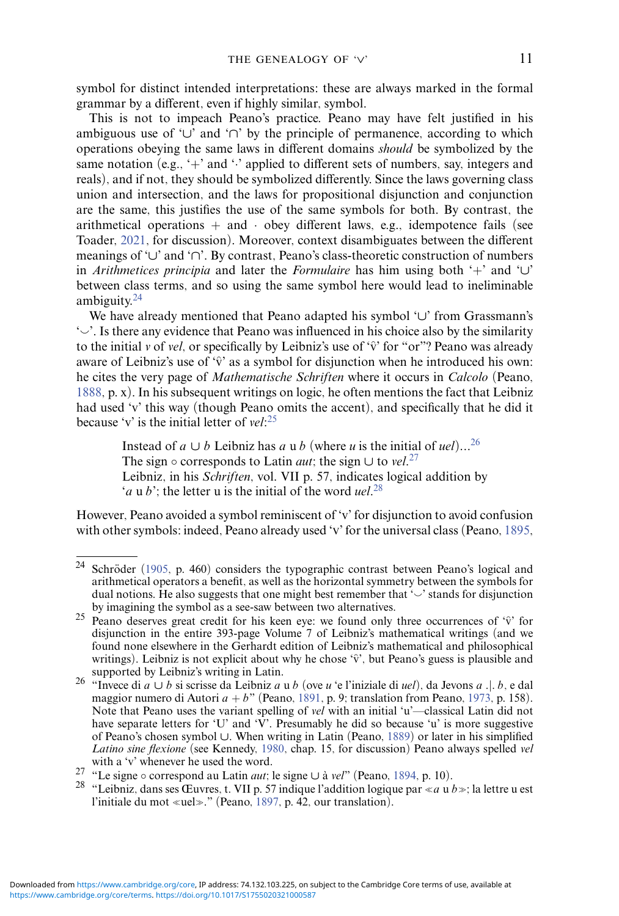symbol for distinct intended interpretations: these are always marked in the formal grammar by a different, even if highly similar, symbol.

This is not to impeach Peano's practice. Peano may have felt justified in his ambiguous use of '*∪*' and '*∩*' by the principle of permanence, according to which operations obeying the same laws in different domains *should* be symbolized by the same notation (e.g.,  $+$  and  $\cdot$  applied to different sets of numbers, say, integers and reals), and if not, they should be symbolized differently. Since the laws governing class union and intersection, and the laws for propositional disjunction and conjunction are the same, this justifies the use of the same symbols for both. By contrast, the arithmetical operations  $+$  and  $\cdot$  obey different laws, e.g., idempotence fails (see Toader, [2021,](#page-36-1) for discussion). Moreover, context disambiguates between the different meanings of '*∪*' and '*∩*'. By contrast, Peano's class-theoretic construction of numbers in *Arithmetices principia* and later the *Formulaire* has him using both '+' and '*∪*' between class terms, and so using the same symbol here would lead to ineliminable ambiguity. $24$ 

We have already mentioned that Peano adapted his symbol '*∪*' from Grassmann's  $\sim$ . Is there any evidence that Peano was influenced in his choice also by the similarity to the initial *v* of *vel*, or specifically by Leibniz's use of ' $\hat{v}$ ' for "or"? Peano was already aware of Leibniz's use of ' $\hat{v}$ ' as a symbol for disjunction when he introduced his own: he cites the very page of *Mathematische Schriften* where it occurs in *Calcolo* (Peano, [1888,](#page-33-7) p. x). In his subsequent writings on logic, he often mentions the fact that Leibniz had used 'v' this way (though Peano omits the accent), and specifically that he did it because 'v' is the initial letter of *vel*: [25](#page-10-1)

Instead of *a* ∪ *b* Leibniz has *a* u *b* (where *u* is the initial of *uel*)...<sup>[26](#page-10-2)</sup> The sign  $\circ$  corresponds to Latin *aut*; the sign  $\cup$  to *vel*.<sup>[27](#page-10-3)</sup> Leibniz, in his *Schriften*, vol. VII p. 57, indicates logical addition by '*a* u *b*'; the letter u is the initial of the word *uel*. [28](#page-10-4)

However, Peano avoided a symbol reminiscent of 'v' for disjunction to avoid confusion with other symbols: indeed, Peano already used 'v' for the universal class (Peano, [1895,](#page-34-14)

<span id="page-10-0"></span> $24$  Schröder ([1905,](#page-36-9) p. 460) considers the typographic contrast between Peano's logical and arithmetical operators a benefit, as well as the horizontal symmetry between the symbols for dual notions. He also suggests that one might best remember that ' $\smile$ ' stands for disjunction

<span id="page-10-1"></span>by imagining the symbol as a see-saw between two alternatives.<br><sup>25</sup> Peano deserves great credit for his keen eye: we found only three occurrences of ' $\hat{v}$ ' for disjunction in the entire 393-page Volume 7 of Leibniz's mathematical writings (and we found none elsewhere in the Gerhardt edition of Leibniz's mathematical and philosophical writings). Leibniz is not explicit about why he chose ' $\hat{v}$ ', but Peano's guess is plausible and supported by Leibniz's writing in Latin.

<span id="page-10-2"></span>supported by Leibniz's writing in Latin. <sup>26</sup> "Invece di *<sup>a</sup> <sup>∪</sup> <sup>b</sup>* si scrisse da Leibniz *<sup>a</sup>* <sup>u</sup> *<sup>b</sup>* (ove *<sup>u</sup>* 'e l'iniziale di *uel*), da Jevons *a .*|*. b*, e dal maggior numero di Autori  $a + b$ " (Peano, [1891,](#page-34-12) p. 9; translation from Peano, [1973,](#page-34-9) p. 158). Note that Peano uses the variant spelling of *vel* with an initial 'u'—classical Latin did not have separate letters for 'U' and 'V'. Presumably he did so because 'u' is more suggestive of Peano's chosen symbol *∪*. When writing in Latin (Peano, [1889\)](#page-34-11) or later in his simplified *Latino sine flexione* (see Kennedy, [1980,](#page-32-9) chap. 15, for discussion) Peano always spelled *vel* with a 'v' whenever he used the word.

<span id="page-10-3"></span><sup>27 &</sup>quot;Le signe ∘ correspond au Latin *aut*; le signe ∪ à *vel*" (Peano, [1894,](#page-34-15) p. 10).

<span id="page-10-4"></span><sup>&</sup>lt;sup>28</sup> "Leibniz, dans ses Œuvres, t. VII p. 57 indique l'addition logique par « a u  $b$  »; la lettre u est l'initiale du mot «uel»." (Peano, [1897,](#page-34-10) p. 42, our translation).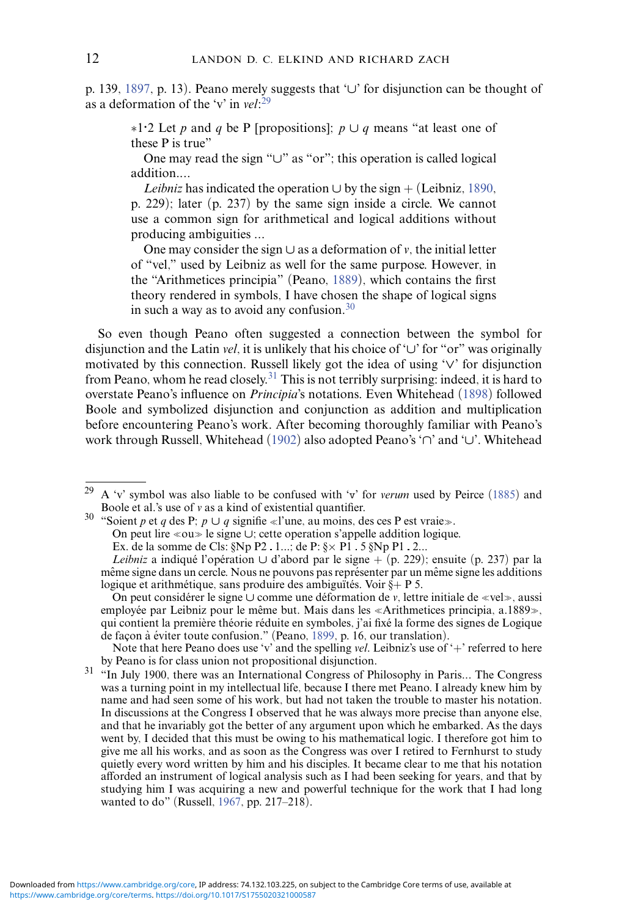p. 139, [1897,](#page-34-10) p. 13). Peano merely suggests that '*∪*' for disjunction can be thought of as a deformation of the 'v' in *vel*: [29](#page-11-0)

∗1*·*2 Let *p* and *q* be P [propositions]; *p ∪ q* means "at least one of these P is true"

One may read the sign "*∪*" as "or"; this operation is called logical addition.*...*

*Leibniz* has indicated the operation  $\cup$  by the sign + (Leibniz, [1890,](#page-32-10) p. 229); later (p. 237) by the same sign inside a circle. We cannot use a common sign for arithmetical and logical additions without producing ambiguities *...*

One may consider the sign *∪* as a deformation of *v*, the initial letter of "vel," used by Leibniz as well for the same purpose. However, in the "Arithmetices principia" (Peano, [1889\)](#page-34-11), which contains the first theory rendered in symbols, I have chosen the shape of logical signs in such a way as to avoid any confusion[.30](#page-11-1)

So even though Peano often suggested a connection between the symbol for disjunction and the Latin *vel*, it is unlikely that his choice of '*∪*' for "or" was originally motivated by this connection. Russell likely got the idea of using '*∨*' for disjunction from Peano, whom he read closely.<sup>31</sup> This is not terribly surprising: indeed, it is hard to overstate Peano's influence on *Principia*'s notations. Even Whitehead [\(1898\)](#page-36-6) followed Boole and symbolized disjunction and conjunction as addition and multiplication before encountering Peano's work. After becoming thoroughly familiar with Peano's work through Russell, Whitehead [\(1902\)](#page-36-10) also adopted Peano's '*∩*' and '*∪*'. Whitehead

On peut lire «ou» le signe ∪; cette operation s'appelle addition logique.

Ex. de la somme de Cls:  $\S Np P2$ . 1...; de P:  $\S \times P1$ . 5  $\S Np P1$ . 2...

<span id="page-11-0"></span><sup>&</sup>lt;sup>29</sup> A 'v' symbol was also liable to be confused with 'v' for *verum* used by Peirce [\(1885\)](#page-34-3) and Boole et al.'s use of *v* as a kind of existential quantifier.

<span id="page-11-1"></span>Boole et al.'s use of *v* as a kind of existential quantifier.<br><sup>30</sup> "Soient *p* et *q* des P; *p*  $\cup$  *q* signifie «l'une, au moins, des ces P est vraie».

*Leibniz* a indiqué l'opération ∪ d'abord par le signe + (p. 229); ensuite (p. 237) par la même signe dans un cercle. Nous ne pouvons pas représenter par un même signe les additions logique et arithmétique, sans produire des ambiguïtés. Voir  $\S + P$  5.

On peut considérer le signe ∪ comme une déformation de *v*, lettre initiale de «vel», aussi employée par Leibniz pour le même but. Mais dans les «Arithmetices principia, a.1889», qui contient la première théorie réduite en symboles, j'ai fixé la forme des signes de Logique de façon à éviter toute confusion." (Peano, [1899,](#page-34-16) p. 16, our translation).

Note that here Peano does use 'v' and the spelling *vel*. Leibniz's use of '+' referred to here by Peano is for class union not propositional disjunction.

<span id="page-11-2"></span><sup>&</sup>lt;sup>31</sup> "In July 1900, there was an International Congress of Philosophy in Paris... The Congress was a turning point in my intellectual life, because I there met Peano. I already knew him by name and had seen some of his work, but had not taken the trouble to master his notation. In discussions at the Congress I observed that he was always more precise than anyone else, and that he invariably got the better of any argument upon which he embarked. As the days went by, I decided that this must be owing to his mathematical logic. I therefore got him to give me all his works, and as soon as the Congress was over I retired to Fernhurst to study quietly every word written by him and his disciples. It became clear to me that his notation afforded an instrument of logical analysis such as I had been seeking for years, and that by studying him I was acquiring a new and powerful technique for the work that I had long wanted to do" (Russell, [1967,](#page-35-2) pp. 217–218).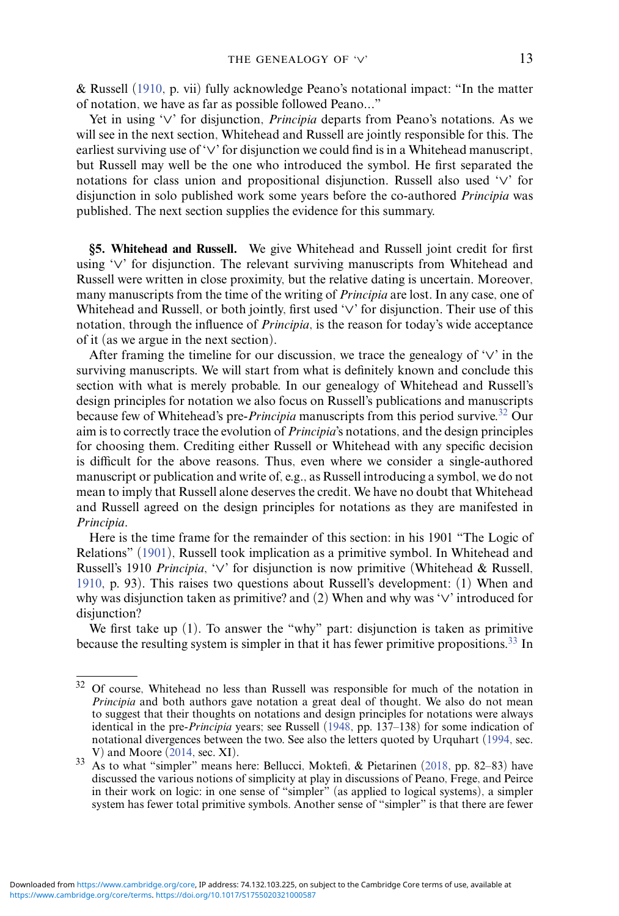& Russell [\(1910,](#page-37-0) p. vii) fully acknowledge Peano's notational impact: "In the matter of notation, we have as far as possible followed Peano*...*"

Yet in using '*∨*' for disjunction, *Principia* departs from Peano's notations. As we will see in the next section, Whitehead and Russell are jointly responsible for this. The earliest surviving use of '*∨*' for disjunction we could find is in a Whitehead manuscript, but Russell may well be the one who introduced the symbol. He first separated the notations for class union and propositional disjunction. Russell also used '*∨*' for disjunction in solo published work some years before the co-authored *Principia* was published. The next section supplies the evidence for this summary.

<span id="page-12-0"></span>**§5. Whitehead and Russell.** We give Whitehead and Russell joint credit for first using '*∨*' for disjunction. The relevant surviving manuscripts from Whitehead and Russell were written in close proximity, but the relative dating is uncertain. Moreover, many manuscripts from the time of the writing of *Principia* are lost. In any case, one of Whitehead and Russell, or both jointly, first used '*∨*' for disjunction. Their use of this notation, through the influence of *Principia*, is the reason for today's wide acceptance of it (as we argue in the next section).

After framing the timeline for our discussion, we trace the genealogy of '*∨*' in the surviving manuscripts. We will start from what is definitely known and conclude this section with what is merely probable. In our genealogy of Whitehead and Russell's design principles for notation we also focus on Russell's publications and manuscripts because few of Whitehead's pre-*Principia* manuscripts from this period survive.[32](#page-12-1) Our aim is to correctly trace the evolution of *Principia*'s notations, and the design principles for choosing them. Crediting either Russell or Whitehead with any specific decision is difficult for the above reasons. Thus, even where we consider a single-authored manuscript or publication and write of, e.g., as Russell introducing a symbol, we do not mean to imply that Russell alone deserves the credit. We have no doubt that Whitehead and Russell agreed on the design principles for notations as they are manifested in *Principia*.

Here is the time frame for the remainder of this section: in his 1901 "The Logic of Relations" [\(1901\)](#page-35-3), Russell took implication as a primitive symbol. In Whitehead and Russell's 1910 *Principia*, '*∨*' for disjunction is now primitive (Whitehead & Russell, [1910,](#page-37-0) p. 93). This raises two questions about Russell's development: (1) When and why was disjunction taken as primitive? and (2) When and why was '*∨*' introduced for disjunction?

We first take up (1). To answer the "why" part: disjunction is taken as primitive because the resulting system is simpler in that it has fewer primitive propositions.<sup>33</sup> In

<span id="page-12-1"></span><sup>&</sup>lt;sup>32</sup> Of course, Whitehead no less than Russell was responsible for much of the notation in *Principia* and both authors gave notation a great deal of thought. We also do not mean to suggest that their thoughts on notations and design principles for notations were always identical in the pre-*Principia* years; see Russell [\(1948,](#page-35-1) pp. 137–138) for some indication of notational divergences between the two. See also the letters quoted by Urquhart [\(1994,](#page-36-2) sec. V) and Moore (2014, sec. XI).

<span id="page-12-2"></span> $33$  As to what "simpler" means here: Bellucci, Moktefi, & Pietarinen [\(2018,](#page-30-9) pp. 82–83) have discussed the various notions of simplicity at play in discussions of Peano, Frege, and Peirce in their work on logic: in one sense of "simpler" (as applied to logical systems), a simpler system has fewer total primitive symbols. Another sense of "simpler" is that there are fewer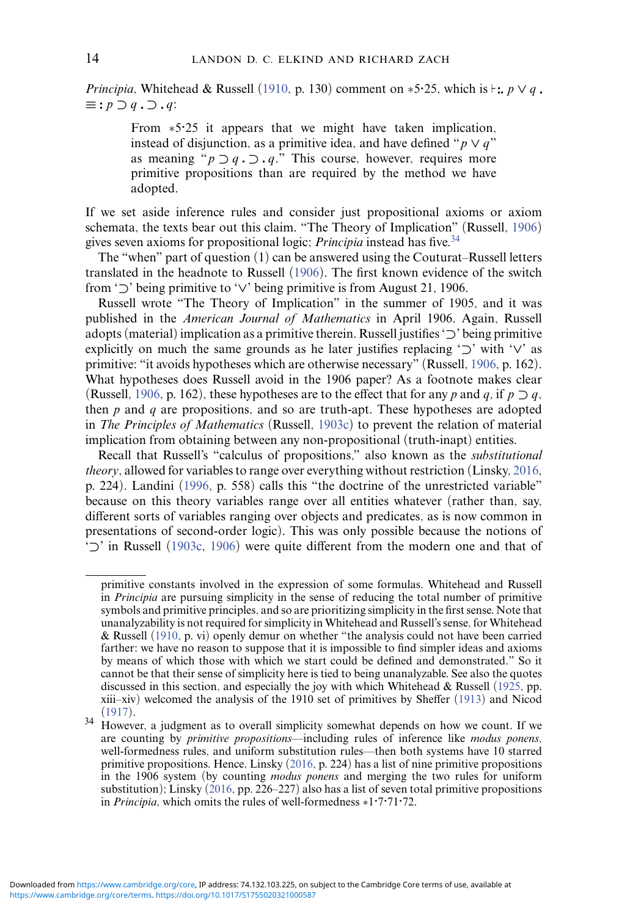*Principia*, Whitehead & Russell [\(1910,](#page-37-0) p. 130) comment on  $*5.25$ , which is  $\models$ :  $p \lor q$ . *≡ p ⊃ q ⊃ q*:

From ∗5*·*25 it appears that we might have taken implication, instead of disjunction, as a primitive idea, and have defined " $p \vee q$ " as meaning  $\phi$  *p*  $\supset q$   $\supset q$ ." This course, however, requires more primitive propositions than are required by the method we have adopted.

If we set aside inference rules and consider just propositional axioms or axiom schemata, the texts bear out this claim. "The Theory of Implication" (Russell, [1906\)](#page-35-4) gives seven axioms for propositional logic; *Principia* instead has five.<sup>[34](#page-13-0)</sup>

The "when" part of question (1) can be answered using the Couturat–Russell letters translated in the headnote to Russell [\(1906\)](#page-35-4). The first known evidence of the switch from '*⊃*' being primitive to '*∨*' being primitive is from August 21, 1906.

Russell wrote "The Theory of Implication" in the summer of 1905, and it was published in the *American Journal of Mathematics* in April 1906. Again, Russell adopts (material) implication as a primitive therein. Russell justifies '*⊃*' being primitive explicitly on much the same grounds as he later justifies replacing '*⊃*' with '*∨*' as primitive: "it avoids hypotheses which are otherwise necessary" (Russell, [1906,](#page-35-4) p. 162). What hypotheses does Russell avoid in the 1906 paper? As a footnote makes clear (Russell, [1906,](#page-35-4) p. 162), these hypotheses are to the effect that for any *p* and *q*, if  $p \supset q$ , then *p* and *q* are propositions, and so are truth-apt. These hypotheses are adopted in *The Principles of Mathematics* (Russell, [1903c\)](#page-35-5) to prevent the relation of material implication from obtaining between any non-propositional (truth-inapt) entities.

Recall that Russell's "calculus of propositions," also known as the *substitutional theory*, allowed for variables to range over everything without restriction (Linsky, [2016,](#page-33-8) p. 224). Landini [\(1996,](#page-32-11) p. 558) calls this "the doctrine of the unrestricted variable" because on this theory variables range over all entities whatever (rather than, say, different sorts of variables ranging over objects and predicates, as is now common in presentations of second-order logic). This was only possible because the notions of '*⊃*' in Russell [\(1903c,](#page-35-5) [1906\)](#page-35-4) were quite different from the modern one and that of

primitive constants involved in the expression of some formulas. Whitehead and Russell in *Principia* are pursuing simplicity in the sense of reducing the total number of primitive symbols and primitive principles, and so are prioritizing simplicity in the first sense. Note that unanalyzability is not required for simplicity in Whitehead and Russell's sense, for Whitehead & Russell [\(1910,](#page-37-0) p. vi) openly demur on whether "the analysis could not have been carried farther: we have no reason to suppose that it is impossible to find simpler ideas and axioms by means of which those with which we start could be defined and demonstrated." So it cannot be that their sense of simplicity here is tied to being unanalyzable. See also the quotes discussed in this section, and especially the joy with which Whitehead & Russell [\(1925,](#page-37-1) pp. xiii–xiv) welcomed the analysis of the 1910 set of primitives by Sheffer [\(1913\)](#page-36-11) and Nicod

<span id="page-13-0"></span>[<sup>\(1917\)</sup>](#page-33-9). <sup>34</sup> However, a judgment as to overall simplicity somewhat depends on how we count. If we are counting by *primitive propositions*—including rules of inference like *modus ponens*, well-formedness rules, and uniform substitution rules—then both systems have 10 starred primitive propositions. Hence, Linsky [\(2016,](#page-33-8) p. 224) has a list of nine primitive propositions in the 1906 system (by counting *modus ponens* and merging the two rules for uniform substitution); Linsky [\(2016,](#page-33-8) pp. 226–227) also has a list of seven total primitive propositions in *Principia*, which omits the rules of well-formedness ∗1*·*7*·*71*·*72.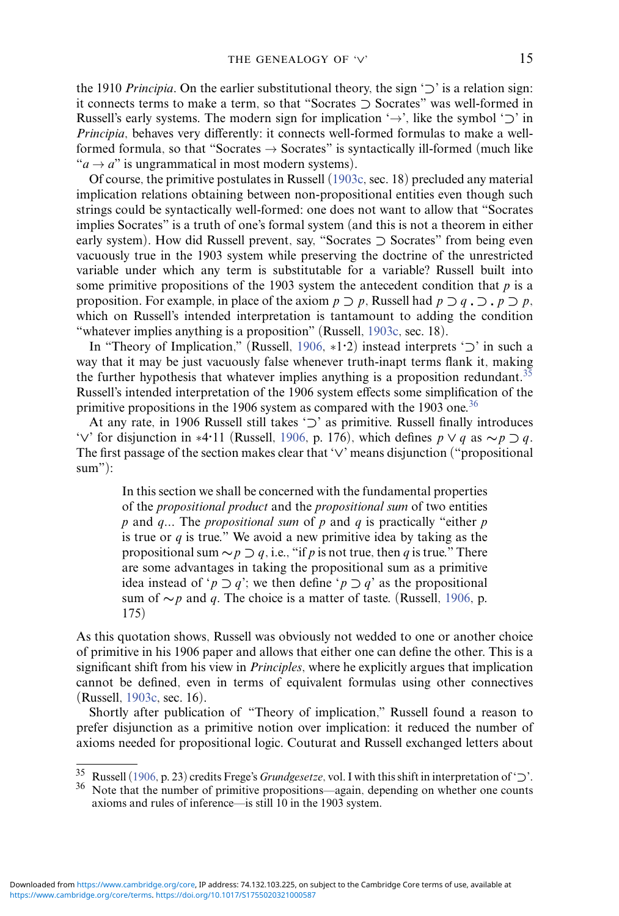the 1910 *Principia*. On the earlier substitutional theory, the sign '*⊃*' is a relation sign: it connects terms to make a term, so that "Socrates *⊃* Socrates" was well-formed in Russell's early systems. The modern sign for implication '→', like the symbol '*⊃*' in *Principia*, behaves very differently: it connects well-formed formulas to make a wellformed formula, so that "Socrates  $\rightarrow$  Socrates" is syntactically ill-formed (much like " $a \rightarrow a$ " is ungrammatical in most modern systems).

Of course, the primitive postulates in Russell [\(1903c,](#page-35-5) sec. 18) precluded any material implication relations obtaining between non-propositional entities even though such strings could be syntactically well-formed: one does not want to allow that "Socrates implies Socrates" is a truth of one's formal system (and this is not a theorem in either early system). How did Russell prevent, say, "Socrates *⊃* Socrates" from being even vacuously true in the 1903 system while preserving the doctrine of the unrestricted variable under which any term is substitutable for a variable? Russell built into some primitive propositions of the 1903 system the antecedent condition that *p* is a proposition. For example, in place of the axiom  $p \supset p$ , Russell had  $p \supset q \supset p \supset p$ , which on Russell's intended interpretation is tantamount to adding the condition "whatever implies anything is a proposition" (Russell, [1903c,](#page-35-5) sec. 18).

In "Theory of Implication," (Russell, [1906,](#page-35-4) ∗1*·*2) instead interprets '*⊃*' in such a way that it may be just vacuously false whenever truth-inapt terms flank it, making the further hypothesis that whatever implies anything is a proposition redundant.<sup>[35](#page-14-0)</sup> Russell's intended interpretation of the 1906 system effects some simplification of the primitive propositions in the 1906 system as compared with the 1903 one.<sup>[36](#page-14-1)</sup>

At any rate, in 1906 Russell still takes '*⊃*' as primitive. Russell finally introduces '*∨*' for disjunction in ∗4*·*11 (Russell, [1906,](#page-35-4) p. 176), which defines *p ∨ q* as *∼p ⊃ q*. The first passage of the section makes clear that '*∨*' means disjunction ("propositional  $sum$ "):

In this section we shall be concerned with the fundamental properties of the *propositional product* and the *propositional sum* of two entities *p* and *q...* The *propositional sum* of *p* and *q* is practically "either *p* is true or  $q$  is true." We avoid a new primitive idea by taking as the propositional sum  $\sim p \supset q$ , i.e., "if *p* is not true, then *q* is true." There are some advantages in taking the propositional sum as a primitive idea instead of ' $p \supset q$ '; we then define ' $p \supset q$ ' as the propositional sum of *∼p* and *q*. The choice is a matter of taste. (Russell, [1906,](#page-35-4) p. 175)

As this quotation shows, Russell was obviously not wedded to one or another choice of primitive in his 1906 paper and allows that either one can define the other. This is a significant shift from his view in *Principles*, where he explicitly argues that implication cannot be defined, even in terms of equivalent formulas using other connectives (Russell, [1903c,](#page-35-5) sec. 16).

Shortly after publication of "Theory of implication," Russell found a reason to prefer disjunction as a primitive notion over implication: it reduced the number of axioms needed for propositional logic. Couturat and Russell exchanged letters about

<span id="page-14-0"></span><sup>35</sup> Russell [\(1906,](#page-35-4) p. 23) credits Frege's *Grundgesetze*, vol. I with this shift in interpretation of '*⊃*'.

<span id="page-14-1"></span>Note that the number of primitive propositions—again, depending on whether one counts axioms and rules of inference—is still 10 in the 1903 system.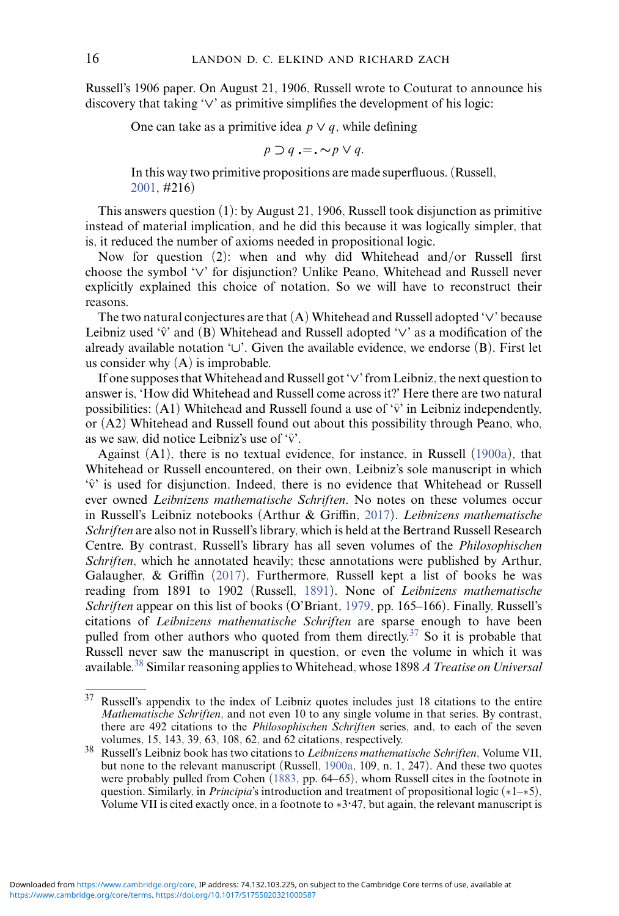Russell's 1906 paper. On August 21, 1906, Russell wrote to Couturat to announce his discovery that taking '*∨*' as primitive simplifies the development of his logic:

One can take as a primitive idea  $p \vee q$ , while defining

$$
p \supset q := \sim p \vee q.
$$

In this way two primitive propositions are made superfluous. (Russell, [2001,](#page-35-6) #216)

This answers question (1): by August 21, 1906, Russell took disjunction as primitive instead of material implication, and he did this because it was logically simpler, that is, it reduced the number of axioms needed in propositional logic.

Now for question (2): when and why did Whitehead and/or Russell first choose the symbol '*∨*' for disjunction? Unlike Peano, Whitehead and Russell never explicitly explained this choice of notation. So we will have to reconstruct their reasons.

The two natural conjectures are that (A) Whitehead and Russell adopted '*∨*' because Leibniz used ' $\hat{v}$ ' and (B) Whitehead and Russell adopted ' $\vee$ ' as a modification of the already available notation '*∪*'. Given the available evidence, we endorse (B). First let us consider why (A) is improbable.

If one supposes thatWhitehead and Russell got '*∨*' from Leibniz, the next question to answer is, 'How did Whitehead and Russell come across it?' Here there are two natural possibilities:  $(A1)$  Whitehead and Russell found a use of  $\hat{v}$  in Leibniz independently, or (A2) Whitehead and Russell found out about this possibility through Peano, who, as we saw, did notice Leibniz's use of  $\hat{v}'$ .

Against (A1), there is no textual evidence, for instance, in Russell [\(1900a\)](#page-35-7), that Whitehead or Russell encountered, on their own, Leibniz's sole manuscript in which  $\hat{v}$  is used for disjunction. Indeed, there is no evidence that Whitehead or Russell ever owned *Leibnizens mathematische Schriften*. No notes on these volumes occur in Russell's Leibniz notebooks (Arthur & Griffin, [2017\)](#page-30-10). *Leibnizens mathematische Schriften* are also not in Russell's library, which is held at the Bertrand Russell Research Centre. By contrast, Russell's library has all seven volumes of the *Philosophischen Schriften*, which he annotated heavily; these annotations were published by Arthur, Galaugher, & Griffin [\(2017\)](#page-30-11). Furthermore, Russell kept a list of books he was reading from 1891 to 1902 (Russell, [1891\)](#page-35-8). None of *Leibnizens mathematische Schriften* appear on this list of books (O'Briant, [1979,](#page-33-10) pp. 165–166). Finally, Russell's citations of *Leibnizens mathematische Schriften* are sparse enough to have been pulled from other authors who quoted from them directly.<sup>37</sup> So it is probable that Russell never saw the manuscript in question, or even the volume in which it was available[.38](#page-15-1) Similar reasoning applies to Whitehead, whose 1898 *A Treatise on Universal*

<span id="page-15-0"></span><sup>37</sup> Russell's appendix to the index of Leibniz quotes includes just 18 citations to the entire *Mathematische Schriften*, and not even 10 to any single volume in that series. By contrast, there are 492 citations to the *Philosophischen Schriften* series, and, to each of the seven

<span id="page-15-1"></span>volumes, 15, 143, 39, 63, 108, 62, and 62 citations, respectively. <sup>38</sup> Russell's Leibniz book has two citations to *Leibnizens mathematische Schriften*, Volume VII, but none to the relevant manuscript (Russell, [1900a,](#page-35-7) 109, n. 1, 247). And these two quotes were probably pulled from Cohen [\(1883,](#page-30-12) pp. 64–65), whom Russell cites in the footnote in question. Similarly, in *Principia*'s introduction and treatment of propositional logic (∗1–∗5), Volume VII is cited exactly once, in a footnote to ∗3*·*47, but again, the relevant manuscript is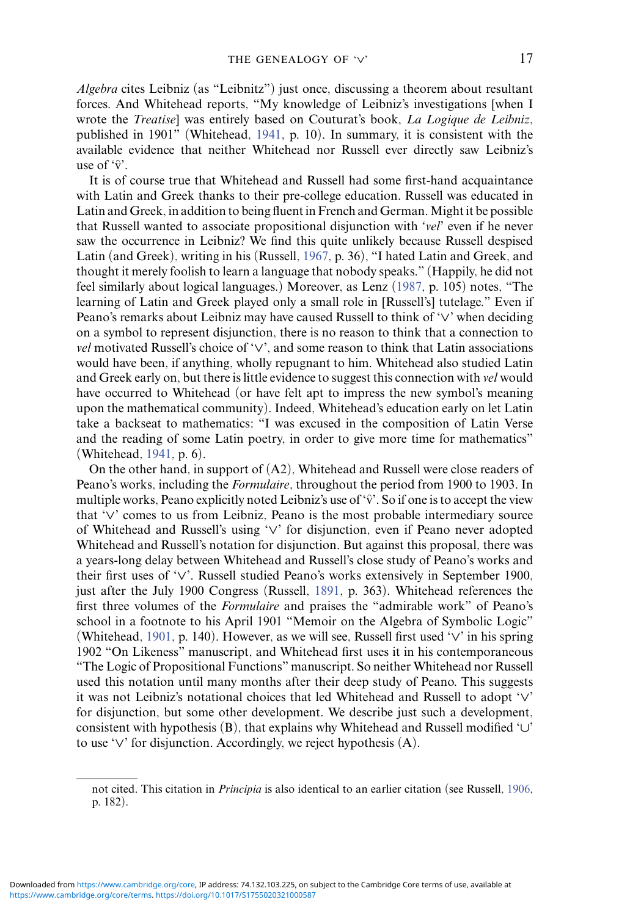*Algebra* cites Leibniz (as "Leibnitz") just once, discussing a theorem about resultant forces. And Whitehead reports, "My knowledge of Leibniz's investigations [when I wrote the *Treatise*] was entirely based on Couturat's book, *La Logique de Leibniz*, published in 1901" (Whitehead, [1941,](#page-37-2) p. 10). In summary, it is consistent with the available evidence that neither Whitehead nor Russell ever directly saw Leibniz's use of  $\hat{v}'$ .

It is of course true that Whitehead and Russell had some first-hand acquaintance with Latin and Greek thanks to their pre-college education. Russell was educated in Latin and Greek, in addition to being fluent in French and German. Might it be possible that Russell wanted to associate propositional disjunction with '*vel*' even if he never saw the occurrence in Leibniz? We find this quite unlikely because Russell despised Latin (and Greek), writing in his (Russell, [1967,](#page-35-2) p. 36), "I hated Latin and Greek, and thought it merely foolish to learn a language that nobody speaks." (Happily, he did not feel similarly about logical languages.) Moreover, as Lenz [\(1987,](#page-33-11) p. 105) notes, "The learning of Latin and Greek played only a small role in [Russell's] tutelage." Even if Peano's remarks about Leibniz may have caused Russell to think of '*∨*' when deciding on a symbol to represent disjunction, there is no reason to think that a connection to *vel* motivated Russell's choice of '*∨*', and some reason to think that Latin associations would have been, if anything, wholly repugnant to him. Whitehead also studied Latin and Greek early on, but there is little evidence to suggest this connection with *vel* would have occurred to Whitehead (or have felt apt to impress the new symbol's meaning upon the mathematical community). Indeed, Whitehead's education early on let Latin take a backseat to mathematics: "I was excused in the composition of Latin Verse and the reading of some Latin poetry, in order to give more time for mathematics" (Whitehead, [1941,](#page-37-2) p. 6).

On the other hand, in support of (A2), Whitehead and Russell were close readers of Peano's works, including the *Formulaire*, throughout the period from 1900 to 1903. In multiple works, Peano explicitly noted Leibniz's use of  $\hat{v}$ . So if one is to accept the view that '*∨*' comes to us from Leibniz, Peano is the most probable intermediary source of Whitehead and Russell's using '*∨*' for disjunction, even if Peano never adopted Whitehead and Russell's notation for disjunction. But against this proposal, there was a years-long delay between Whitehead and Russell's close study of Peano's works and their first uses of '*∨*'. Russell studied Peano's works extensively in September 1900, just after the July 1900 Congress (Russell, [1891,](#page-35-8) p. 363). Whitehead references the first three volumes of the *Formulaire* and praises the "admirable work" of Peano's school in a footnote to his April 1901 "Memoir on the Algebra of Symbolic Logic" (Whitehead, [1901,](#page-36-12) p. 140). However, as we will see, Russell first used '*∨*' in his spring 1902 "On Likeness" manuscript, and Whitehead first uses it in his contemporaneous "The Logic of Propositional Functions" manuscript. So neither Whitehead nor Russell used this notation until many months after their deep study of Peano. This suggests it was not Leibniz's notational choices that led Whitehead and Russell to adopt '*∨*' for disjunction, but some other development. We describe just such a development, consistent with hypothesis (B), that explains why Whitehead and Russell modified '*∪*' to use '*∨*' for disjunction. Accordingly, we reject hypothesis (A).

not cited. This citation in *Principia* is also identical to an earlier citation (see Russell, [1906,](#page-35-4) p. 182).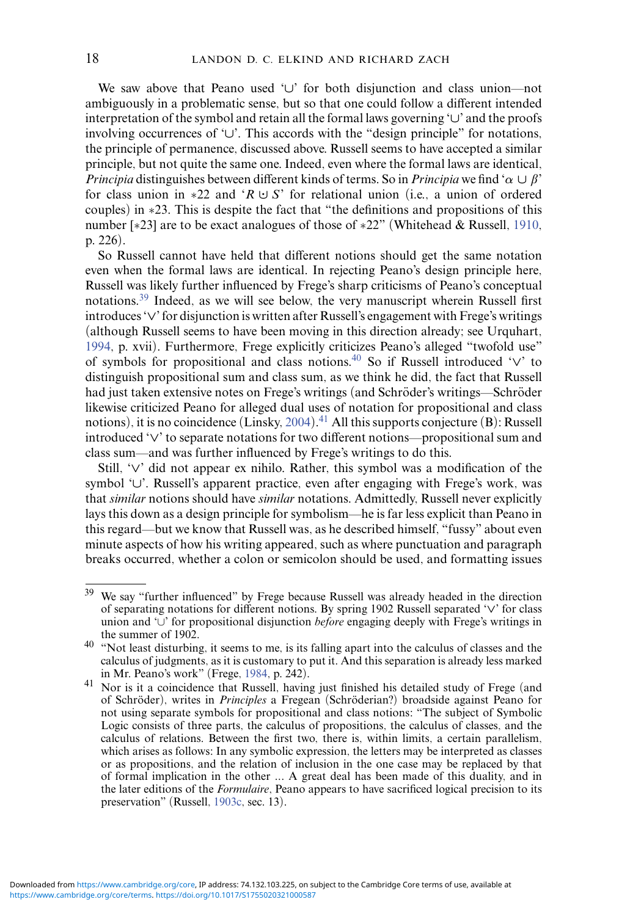We saw above that Peano used '*∪*' for both disjunction and class union—not ambiguously in a problematic sense, but so that one could follow a different intended interpretation of the symbol and retain all the formal laws governing '*∪*' and the proofs involving occurrences of '*∪*'. This accords with the "design principle" for notations, the principle of permanence, discussed above. Russell seems to have accepted a similar principle, but not quite the same one. Indeed, even where the formal laws are identical, *Principia* distinguishes between different kinds of terms. So in *Principia* we find ' $\alpha \cup \beta$ ' for class union in ∗22 and '*R ∪· S*' for relational union (i.e., a union of ordered couples) in ∗23. This is despite the fact that "the definitions and propositions of this number [∗23] are to be exact analogues of those of ∗22" (Whitehead & Russell, [1910,](#page-37-0) p. 226).

So Russell cannot have held that different notions should get the same notation even when the formal laws are identical. In rejecting Peano's design principle here, Russell was likely further influenced by Frege's sharp criticisms of Peano's conceptual notations[.39](#page-17-0) Indeed, as we will see below, the very manuscript wherein Russell first introduces '*∨*' for disjunction is written after Russell's engagement with Frege's writings (although Russell seems to have been moving in this direction already; see Urquhart, [1994,](#page-36-2) p. xvii). Furthermore, Frege explicitly criticizes Peano's alleged "twofold use" of symbols for propositional and class notions[.40](#page-17-1) So if Russell introduced '*∨*' to distinguish propositional sum and class sum, as we think he did, the fact that Russell had just taken extensive notes on Frege's writings (and Schröder's writings—Schröder likewise criticized Peano for alleged dual uses of notation for propositional and class notions), it is no coincidence (Linsky, [2004\)](#page-33-12).<sup>[41](#page-17-2)</sup> All this supports conjecture (B): Russell introduced '*∨*' to separate notations for two different notions—propositional sum and class sum—and was further influenced by Frege's writings to do this.

Still, '*∨*' did not appear ex nihilo. Rather, this symbol was a modification of the symbol '*∪*'. Russell's apparent practice, even after engaging with Frege's work, was that *similar* notions should have *similar* notations. Admittedly, Russell never explicitly lays this down as a design principle for symbolism—he is far less explicit than Peano in this regard—but we know that Russell was, as he described himself, "fussy" about even minute aspects of how his writing appeared, such as where punctuation and paragraph breaks occurred, whether a colon or semicolon should be used, and formatting issues

<span id="page-17-0"></span><sup>39</sup> We say "further influenced" by Frege because Russell was already headed in the direction of separating notations for different notions. By spring 1902 Russell separated '*∨*' for class union and '∪' for propositional disjunction *before* engaging deeply with Frege's writings in the summer of 1902.

<span id="page-17-1"></span><sup>&</sup>lt;sup>40</sup> "Not least disturbing, it seems to me, is its falling apart into the calculus of classes and the calculus of judgments, as it is customary to put it. And this separation is already less marked

<span id="page-17-2"></span><sup>&</sup>lt;sup>41</sup> Nor is it a coincidence that Russell, having just finished his detailed study of Frege (and of Schröder), writes in *Principles* a Fregean (Schröderian?) broadside against Peano for not using separate symbols for propositional and class notions: "The subject of Symbolic Logic consists of three parts, the calculus of propositions, the calculus of classes, and the calculus of relations. Between the first two, there is, within limits, a certain parallelism, which arises as follows: In any symbolic expression, the letters may be interpreted as classes or as propositions, and the relation of inclusion in the one case may be replaced by that of formal implication in the other *...* A great deal has been made of this duality, and in the later editions of the *Formulaire*, Peano appears to have sacrificed logical precision to its preservation" (Russell, [1903c,](#page-35-5) sec. 13).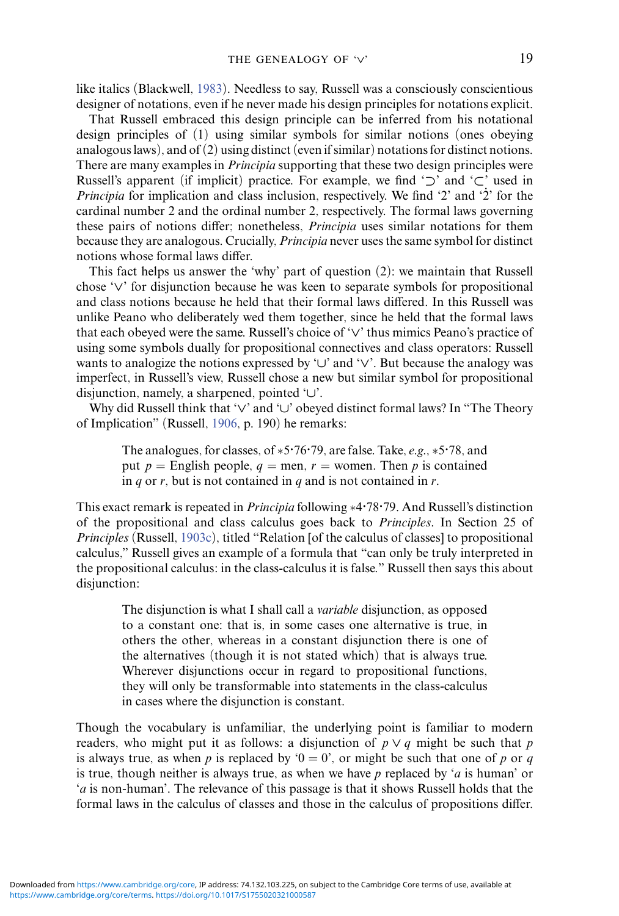like italics (Blackwell, [1983\)](#page-30-13). Needless to say, Russell was a consciously conscientious designer of notations, even if he never made his design principles for notations explicit.

That Russell embraced this design principle can be inferred from his notational design principles of (1) using similar symbols for similar notions (ones obeying analogous laws), and of  $(2)$  using distinct (even if similar) notations for distinct notions. There are many examples in *Principia* supporting that these two design principles were Russell's apparent (if implicit) practice. For example, we find '*⊃*' and '*⊂*' used in *Principia* for implication and class inclusion, respectively. We find '2' and '2' for the cardinal number 2 and the ordinal number 2, respectively. The formal laws governing these pairs of notions differ; nonetheless, *Principia* uses similar notations for them because they are analogous. Crucially, *Principia* never uses the same symbol for distinct notions whose formal laws differ.

This fact helps us answer the 'why' part of question (2): we maintain that Russell chose '*∨*' for disjunction because he was keen to separate symbols for propositional and class notions because he held that their formal laws differed. In this Russell was unlike Peano who deliberately wed them together, since he held that the formal laws that each obeyed were the same. Russell's choice of '*∨*' thus mimics Peano's practice of using some symbols dually for propositional connectives and class operators: Russell wants to analogize the notions expressed by '*∪*' and '*∨*'. But because the analogy was imperfect, in Russell's view, Russell chose a new but similar symbol for propositional disjunction, namely, a sharpened, pointed '*∪*'.

Why did Russell think that '*∨*' and '*∪*' obeyed distinct formal laws? In "The Theory of Implication" (Russell, [1906,](#page-35-4) p. 190) he remarks:

The analogues, for classes, of ∗5*·*76*·*79, are false. Take, *e.g.*, ∗5*·*78, and put  $p =$  English people,  $q =$  men,  $r =$  women. Then p is contained in *q* or *r*, but is not contained in *q* and is not contained in *r*.

This exact remark is repeated in *Principia* following ∗4*·*78*·*79. And Russell's distinction of the propositional and class calculus goes back to *Principles*. In Section 25 of *Principles* (Russell, [1903c\)](#page-35-5), titled "Relation [of the calculus of classes] to propositional calculus," Russell gives an example of a formula that "can only be truly interpreted in the propositional calculus: in the class-calculus it is false." Russell then says this about disjunction:

The disjunction is what I shall call a *variable* disjunction, as opposed to a constant one: that is, in some cases one alternative is true, in others the other, whereas in a constant disjunction there is one of the alternatives (though it is not stated which) that is always true. Wherever disjunctions occur in regard to propositional functions, they will only be transformable into statements in the class-calculus in cases where the disjunction is constant.

Though the vocabulary is unfamiliar, the underlying point is familiar to modern readers, who might put it as follows: a disjunction of  $p \lor q$  might be such that  $p$ is always true, as when *p* is replaced by ' $0 = 0$ ', or might be such that one of *p* or *q* is true, though neither is always true, as when we have *p* replaced by '*a* is human' or '*a* is non-human'. The relevance of this passage is that it shows Russell holds that the formal laws in the calculus of classes and those in the calculus of propositions differ.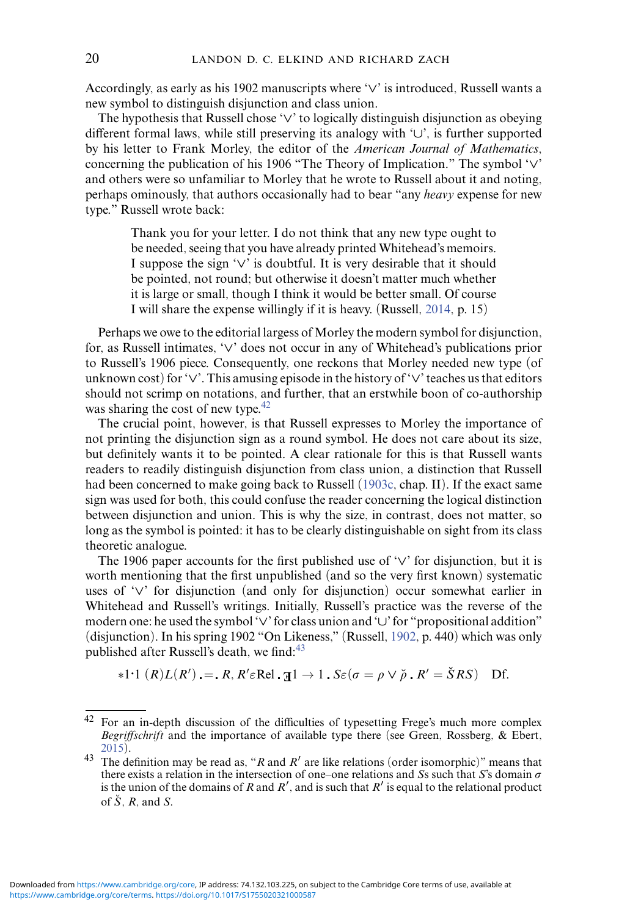Accordingly, as early as his 1902 manuscripts where '*∨*' is introduced, Russell wants a new symbol to distinguish disjunction and class union.

The hypothesis that Russell chose '*∨*' to logically distinguish disjunction as obeying different formal laws, while still preserving its analogy with '*∪*', is further supported by his letter to Frank Morley, the editor of the *American Journal of Mathematics*, concerning the publication of his 1906 "The Theory of Implication." The symbol '*∨*' and others were so unfamiliar to Morley that he wrote to Russell about it and noting, perhaps ominously, that authors occasionally had to bear "any *heavy* expense for new type." Russell wrote back:

Thank you for your letter. I do not think that any new type ought to be needed, seeing that you have already printed Whitehead's memoirs. I suppose the sign '*∨*' is doubtful. It is very desirable that it should be pointed, not round; but otherwise it doesn't matter much whether it is large or small, though I think it would be better small. Of course I will share the expense willingly if it is heavy. (Russell, [2014,](#page-35-9) p. 15)

Perhaps we owe to the editorial largess of Morley the modern symbol for disjunction, for, as Russell intimates, '*∨*' does not occur in any of Whitehead's publications prior to Russell's 1906 piece. Consequently, one reckons that Morley needed new type (of unknown cost) for '*∨*'. This amusing episode in the history of '*∨*' teaches us that editors should not scrimp on notations, and further, that an erstwhile boon of co-authorship was sharing the cost of new type.<sup>42</sup>

The crucial point, however, is that Russell expresses to Morley the importance of not printing the disjunction sign as a round symbol. He does not care about its size, but definitely wants it to be pointed. A clear rationale for this is that Russell wants readers to readily distinguish disjunction from class union, a distinction that Russell had been concerned to make going back to Russell [\(1903c,](#page-35-5) chap. II). If the exact same sign was used for both, this could confuse the reader concerning the logical distinction between disjunction and union. This is why the size, in contrast, does not matter, so long as the symbol is pointed: it has to be clearly distinguishable on sight from its class theoretic analogue.

The 1906 paper accounts for the first published use of '*∨*' for disjunction, but it is worth mentioning that the first unpublished (and so the very first known) systematic uses of '*∨*' for disjunction (and only for disjunction) occur somewhat earlier in Whitehead and Russell's writings. Initially, Russell's practice was the reverse of the modern one: he used the symbol '*∨*' for class union and '*∪*' for "propositional addition" (disjunction). In his spring 1902 "On Likeness," (Russell, [1902,](#page-35-10) p. 440) which was only published after Russell's death, we find: $43$ 

$$
*1.1 (R)L(R') = R, R' \in \text{Rel. } \mathfrak{A}1 \to 1. S\epsilon(\sigma = \rho \vee \tilde{\rho} \cdot R' = \tilde{S}RS) \text{ Df.}
$$

<span id="page-19-0"></span><sup>42</sup> For an in-depth discussion of the difficulties of typesetting Frege's much more complex *Begriffschrift* and the importance of available type there (see Green, Rossberg, & Ebert, <sup>43</sup> The definition may be read as, "*R* and *R'* are like relations (order isomorphic)" means that

<span id="page-19-1"></span>there exists a relation in the intersection of one–one relations and *S*s such that *S*'s domain  $\sigma$ is the union of the domains of *R* and *R*<sup> $\prime$ </sup>, and is such that *R*<sup> $\prime$ </sup> is equal to the relational product of  $\check{S}$ ,  $R$ , and  $S$ .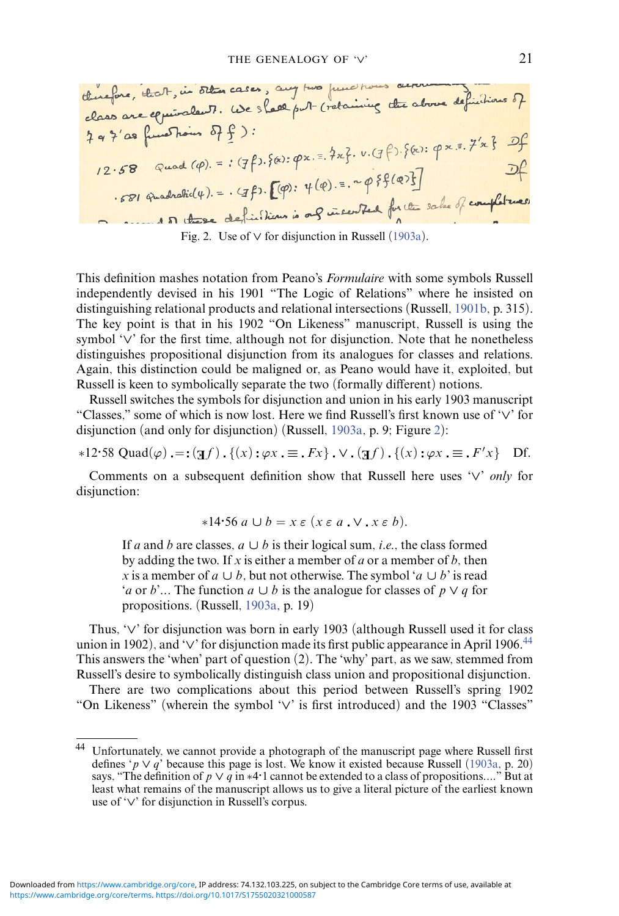<span id="page-20-0"></span>

| change, the of, in 50 km case, any two functions are bounded.                                                                                                                                                                                                                                                                                                                                                                                                                                                                                       | 3              |
|-----------------------------------------------------------------------------------------------------------------------------------------------------------------------------------------------------------------------------------------------------------------------------------------------------------------------------------------------------------------------------------------------------------------------------------------------------------------------------------------------------------------------------------------------------|----------------|
| class one equiola. 7.                                                                                                                                                                                                                                                                                                                                                                                                                                                                                                                               | use a law of 6 |
| 3 a 7' as $\int$ and $\int$                                                                                                                                                                                                                                                                                                                                                                                                                                                                                                                         | 3              |
| 1 a 7' as $\int$ and $\int$                                                                                                                                                                                                                                                                                                                                                                                                                                                                                                                         | 3              |
| 1 2.58 $\int$ Quod $(\varphi)$ . = : $(7f)$ . $\{\hat{e}: \varphi \times \overline{e}: \exists x\}$ . $\nu$ . $(f \varphi): \{\hat{e}: \varphi \times \overline{e}: \exists x\}$                                                                                                                                                                                                                                                                                                                                                                    |                |
| 1 2.58 $\int$ Quod $(\varphi)$ . = : $(7f)$ . $\{\varphi: \varphi \times \overline{e}: \exists x\}$ . $\nu$ . $(f \varphi): \{\hat{e}: \varphi \times \overline{e}: \exists x\}$                                                                                                                                                                                                                                                                                                                                                                    |                |
| 1 571 $\int$ Quod $(\varphi)$ . = . $(7f)$ . $\Gamma(\varphi): \psi(\varphi): = \int$ $\int$ $\varphi$ are $\int$ and $\int$ are $\int$ are $\int$ and $\int$ are $\int$ and $\int$ are $\int$ and $\int$ are $\int$ and $\int$ are $\int$ and $\int$ are $\int$ and $\int$ are $\int$ and $\int$ are $\int$ and $\int$ are $\int$ and $\int$ are $\int$ and $\int$ are $\int$ and $\int$ are $\int$ and $\int$ are $\int$ and $\int$ are $\int$ and $\int$ are $\int$ and $\int$ are $\int$ and $\int$ are $\int$ and $\int$ are $\int$ and $\int$ |                |

Fig. 2. Use of *∨* for disjunction in Russell [\(1903a\)](#page-35-11).

This definition mashes notation from Peano's *Formulaire* with some symbols Russell independently devised in his 1901 "The Logic of Relations" where he insisted on distinguishing relational products and relational intersections (Russell, [1901b,](#page-35-3) p. 315). The key point is that in his 1902 "On Likeness" manuscript, Russell is using the symbol '*∨*' for the first time, although not for disjunction. Note that he nonetheless distinguishes propositional disjunction from its analogues for classes and relations. Again, this distinction could be maligned or, as Peano would have it, exploited, but Russell is keen to symbolically separate the two (formally different) notions.

Russell switches the symbols for disjunction and union in his early 1903 manuscript "Classes," some of which is now lost. Here we find Russell's first known use of '*∨*' for disjunction (and only for disjunction) (Russell, [1903a,](#page-35-11) p. 9; Figure [2\)](#page-20-0):

$$
*12.58 \text{ Quad}(\varphi) =: (\mathbf{I}f) \cdot \{ (x) : \varphi x \cdot \equiv \mathbf{I}Fx \} \cdot \vee \cdot (\mathbf{I}f) \cdot \{ (x) : \varphi x \cdot \equiv \mathbf{I}F'x \} \text{ Df.}
$$

Comments on a subsequent definition show that Russell here uses '*∨*' *only* for disjunction:

$$
*14.56\ a\cup b=x\ \varepsilon\ (x\ \varepsilon\ a\ \cdot\ \vee\ \cdot x\ \varepsilon\ b).
$$

If *a* and *b* are classes,  $a \cup b$  is their logical sum, *i.e.*, the class formed by adding the two. If *x* is either a member of *a* or a member of *b*, then *x* is a member of *a*  $\cup$  *b*, but not otherwise. The symbol '*a*  $\cup$  *b*' is read '*a* or *b*'*...* The function *a ∪ b* is the analogue for classes of *p ∨ q* for propositions. (Russell, [1903a,](#page-35-11) p. 19)

Thus, '*∨*' for disjunction was born in early 1903 (although Russell used it for class union in 1902), and '*∨*' for disjunction made its first public appearance in April 1906[.44](#page-20-1) This answers the 'when' part of question (2). The 'why' part, as we saw, stemmed from Russell's desire to symbolically distinguish class union and propositional disjunction.

There are two complications about this period between Russell's spring 1902 "On Likeness" (wherein the symbol '*∨*' is first introduced) and the 1903 "Classes"

<span id="page-20-1"></span><sup>44</sup> Unfortunately, we cannot provide a photograph of the manuscript page where Russell first defines ' $p \lor q$ ' because this page is lost. We know it existed because Russell [\(1903a,](#page-35-11) p. 20) says, "The definition of  $p \vee q$  in \*4 $\cdot$ 1 cannot be extended to a class of propositions...." But at least what remains of the manuscript allows us to give a literal picture of the earliest known use of '*∨*' for disjunction in Russell's corpus.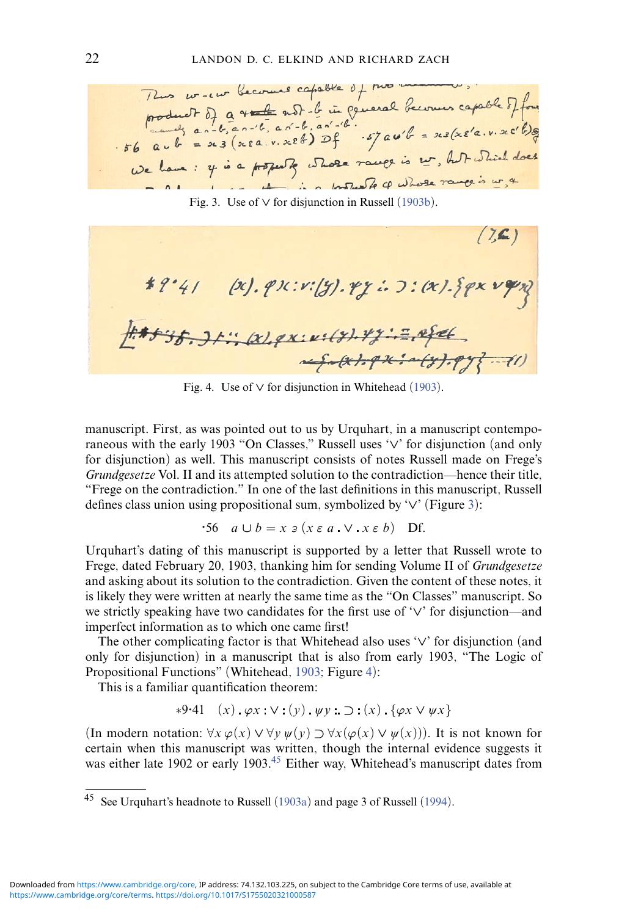<span id="page-21-0"></span>22 LANDON D. C. ELKIND AND RICHARD ZACH<br>
Thus we we become capable of two means capable of four<br>
product of a  $\sqrt{t}$  and b. an'-b. an'-b. an'-b.<br>  $s6$  a  $u + 3$  and  $s = 2$  and  $s = 2$  and  $s = 3$  ( $x \in a, y, x \in b$ )  $2f - s7$  and 1 1 - 11 - 12 motor de la Whose range is w. 4

Fig. 3. Use of *∨* for disjunction in Russell [\(1903b\)](#page-35-12).

<span id="page-21-1"></span> $(7, 6)$ \*?'41 (x). px: v:(y). ry: . J: (x). {px vqn F#+3f.Jt: (x).qx:x:(y).yz:= efet

Fig. 4. Use of *∨* for disjunction in Whitehead [\(1903\)](#page-36-13).

manuscript. First, as was pointed out to us by Urquhart, in a manuscript contemporaneous with the early 1903 "On Classes," Russell uses '*∨*' for disjunction (and only for disjunction) as well. This manuscript consists of notes Russell made on Frege's *Grundgesetze* Vol. II and its attempted solution to the contradiction—hence their title, "Frege on the contradiction." In one of the last definitions in this manuscript, Russell defines class union using propositional sum, symbolized by '*∨*' (Figure [3\)](#page-21-0):

$$
\mathbf{0.56} \quad a \cup b = x \mathbin{\texttt{3}} (x \mathbin{\texttt{\in}} a \mathbin{\texttt{.}} \vee \mathbin{\texttt{.}} x \mathbin{\texttt{.}} b) \quad \text{Df.}
$$

Urquhart's dating of this manuscript is supported by a letter that Russell wrote to Frege, dated February 20, 1903, thanking him for sending Volume II of *Grundgesetze* and asking about its solution to the contradiction. Given the content of these notes, it is likely they were written at nearly the same time as the "On Classes" manuscript. So we strictly speaking have two candidates for the first use of '*∨*' for disjunction—and imperfect information as to which one came first!

The other complicating factor is that Whitehead also uses '*∨*' for disjunction (and only for disjunction) in a manuscript that is also from early 1903, "The Logic of Propositional Functions" (Whitehead, [1903;](#page-36-13) Figure [4\)](#page-21-1):

This is a familiar quantification theorem:

$$
*9.41 \quad (x) \quad \varphi x : \vee : (y) \quad \psi y :: \supset : (x) \quad \{\varphi x \vee \psi x\}
$$

(In modern notation:  $\forall x \varphi(x) \lor \forall y \psi(y) \supset \forall x (\varphi(x) \lor \psi(x))$ ). It is not known for certain when this manuscript was written, though the internal evidence suggests it was either late 1902 or early 1903.<sup>45</sup> Either way, Whitehead's manuscript dates from

<span id="page-21-2"></span>See Urquhart's headnote to Russell [\(1903a\)](#page-35-11) and page 3 of Russell [\(1994\)](#page-35-13).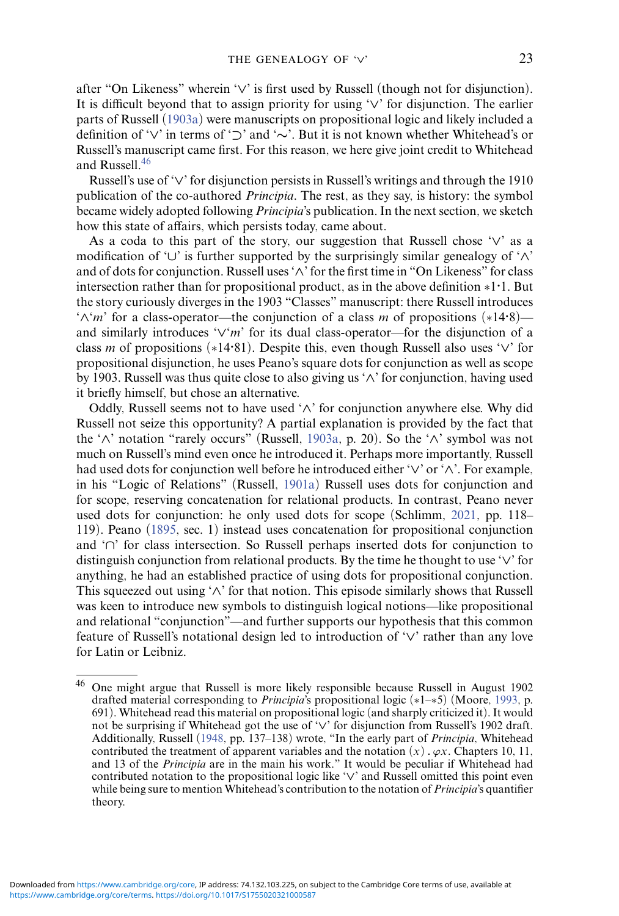after "On Likeness" wherein '*∨*' is first used by Russell (though not for disjunction). It is difficult beyond that to assign priority for using '*∨*' for disjunction. The earlier parts of Russell [\(1903a\)](#page-35-11) were manuscripts on propositional logic and likely included a definition of '*∨*' in terms of '*⊃*' and '*∼*'. But it is not known whether Whitehead's or Russell's manuscript came first. For this reason, we here give joint credit to Whitehead and Russell[.46](#page-22-0)

Russell's use of '*∨*' for disjunction persists in Russell's writings and through the 1910 publication of the co-authored *Principia*. The rest, as they say, is history: the symbol became widely adopted following *Principia*'s publication. In the next section, we sketch how this state of affairs, which persists today, came about.

As a coda to this part of the story, our suggestion that Russell chose '*∨*' as a modification of '*∪*' is further supported by the surprisingly similar genealogy of '*∧*' and of dots for conjunction. Russell uses '*∧*' for the first time in "On Likeness" for class intersection rather than for propositional product, as in the above definition ∗1*·*1. But the story curiously diverges in the 1903 "Classes" manuscript: there Russell introduces '*∧*'*m*' for a class-operator—the conjunction of a class *m* of propositions (∗14*·*8) and similarly introduces '*∨*'*m*' for its dual class-operator—for the disjunction of a class *m* of propositions (∗14*·*81). Despite this, even though Russell also uses '*∨*' for propositional disjunction, he uses Peano's square dots for conjunction as well as scope by 1903. Russell was thus quite close to also giving us '*∧*' for conjunction, having used it briefly himself, but chose an alternative.

Oddly, Russell seems not to have used '*∧*' for conjunction anywhere else. Why did Russell not seize this opportunity? A partial explanation is provided by the fact that the '*∧*' notation "rarely occurs" (Russell, [1903a,](#page-35-11) p. 20). So the '*∧*' symbol was not much on Russell's mind even once he introduced it. Perhaps more importantly, Russell had used dots for conjunction well before he introduced either '*∨*' or '*∧*'. For example, in his "Logic of Relations" (Russell, [1901a\)](#page-35-14) Russell uses dots for conjunction and for scope, reserving concatenation for relational products. In contrast, Peano never used dots for conjunction: he only used dots for scope (Schlimm, [2021,](#page-36-0) pp. 118– 119). Peano [\(1895,](#page-34-14) sec. 1) instead uses concatenation for propositional conjunction and '*∩*' for class intersection. So Russell perhaps inserted dots for conjunction to distinguish conjunction from relational products. By the time he thought to use '*∨*' for anything, he had an established practice of using dots for propositional conjunction. This squeezed out using '*∧*' for that notion. This episode similarly shows that Russell was keen to introduce new symbols to distinguish logical notions—like propositional and relational "conjunction"—and further supports our hypothesis that this common feature of Russell's notational design led to introduction of '*∨*' rather than any love for Latin or Leibniz.

<span id="page-22-0"></span><sup>46</sup> One might argue that Russell is more likely responsible because Russell in August 1902 drafted material corresponding to *Principia*'s propositional logic (∗1–∗5) (Moore, [1993,](#page-33-13) p. 691). Whitehead read this material on propositional logic (and sharply criticized it). It would not be surprising if Whitehead got the use of '*∨*' for disjunction from Russell's 1902 draft. Additionally, Russell [\(1948,](#page-35-1) pp. 137–138) wrote, "In the early part of *Principia*, Whitehead contributed the treatment of apparent variables and the notation  $(x)$ ,  $\varphi x$ . Chapters 10, 11, and 13 of the *Principia* are in the main his work." It would be peculiar if Whitehead had contributed notation to the propositional logic like '*∨*' and Russell omitted this point even while being sure to mention Whitehead's contribution to the notation of *Principia*'s quantifier theory.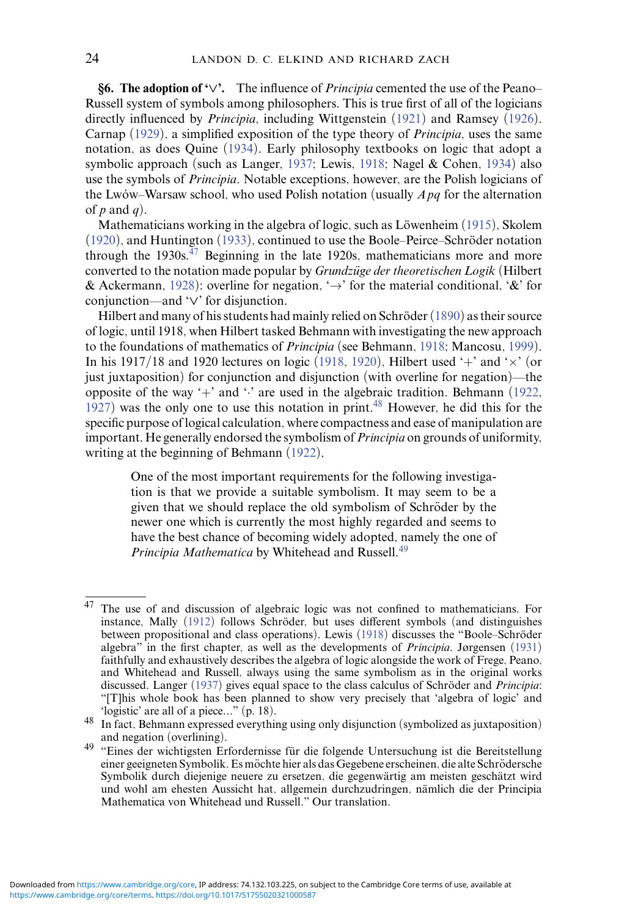**§6. The adoption of '***∨***'.** The influence of *Principia* cemented the use of the Peano– Russell system of symbols among philosophers. This is true first of all of the logicians directly influenced by *Principia*, including Wittgenstein [\(1921\)](#page-37-3) and Ramsey [\(1926\)](#page-35-15). Carnap [\(1929\)](#page-30-14), a simplified exposition of the type theory of *Principia*, uses the same notation, as does Quine [\(1934\)](#page-34-17). Early philosophy textbooks on logic that adopt a symbolic approach (such as Langer, [1937;](#page-32-12) Lewis, [1918;](#page-33-14) Nagel & Cohen, [1934\)](#page-33-15) also use the symbols of *Principia*. Notable exceptions, however, are the Polish logicians of the Lwów–Warsaw school, who used Polish notation (usually  $\overline{Apq}$  for the alternation of  $p$  and  $q$ ).

Mathematicians working in the algebra of logic, such as Löwenheim  $(1915)$  $(1915)$ , Skolem  $(1920)$ , and Huntington  $(1933)$ , continued to use the Boole–Peirce–Schröder notation through the 1930s. $47$  Beginning in the late 1920s, mathematicians more and more converted to the notation made popular by *Grundzüge der theoretischen Logik* (Hilbert & Ackermann, [1928\)](#page-32-14): overline for negation,  $\rightarrow$  for the material conditional, '&' for conjunction—and '*∨*' for disjunction.

Hilbert and many of his students had mainly relied on Schröder  $(1890)$  $(1890)$  as their source of logic, until 1918, when Hilbert tasked Behmann with investigating the new approach to the foundations of mathematics of *Principia* (see Behmann, [1918;](#page-30-15) Mancosu, [1999\)](#page-33-17). In his 1917/18 and 1920 lectures on logic [\(1918,](#page-30-15) [1920\)](#page-31-5), Hilbert used '+' and ' $\times$ ' (or just juxtaposition) for conjunction and disjunction (with overline for negation)—the opposite of the way '+' and '.' are used in the algebraic tradition. Behmann [\(1922,](#page-30-16) [1927\)](#page-30-17) was the only one to use this notation in print. $48$  However, he did this for the specific purpose of logical calculation, where compactness and ease of manipulation are important. He generally endorsed the symbolism of*Principia* on grounds of uniformity, writing at the beginning of Behmann [\(1922\)](#page-30-16),

One of the most important requirements for the following investigation is that we provide a suitable symbolism. It may seem to be a given that we should replace the old symbolism of Schröder by the newer one which is currently the most highly regarded and seems to have the best chance of becoming widely adopted, namely the one of *Principia Mathematica* by Whitehead and Russell.<sup>49</sup>

<span id="page-23-0"></span><sup>47</sup> The use of and discussion of algebraic logic was not confined to mathematicians. For instance, Mally  $(1912)$  follows Schröder, but uses different symbols (and distinguishes between propositional and class operations). Lewis [\(1918\)](#page-33-14) discusses the "Boole–Schröder algebra" in the first chapter, as well as the developments of *Principia*. Jørgensen [\(1931\)](#page-32-15) faithfully and exhaustively describes the algebra of logic alongside the work of Frege, Peano, and Whitehead and Russell, always using the same symbolism as in the original works discussed. Langer [\(1937\)](#page-32-12) gives equal space to the class calculus of Schröder and *Principia*: "[T]his whole book has been planned to show very precisely that 'algebra of logic' and 'logistic' are all of a piece..."  $(p. 18)$ .

<span id="page-23-1"></span><sup>&</sup>lt;sup>48</sup> In fact, Behmann expressed everything using only disjunction (symbolized as juxtaposition) and negation (overlining).

<span id="page-23-2"></span><sup>49 &</sup>quot;Eines der wichtigsten Erfordernisse für die folgende Untersuchung ist die Bereitstellung einer geeigneten Symbolik. Es möchte hier als das Gegebene erscheinen, die alte Schrödersche Symbolik durch diejenige neuere zu ersetzen, die gegenwärtig am meisten geschätzt wird und wohl am ehesten Aussicht hat, allgemein durchzudringen, namlich die der Principia ¨ Mathematica von Whitehead und Russell." Our translation.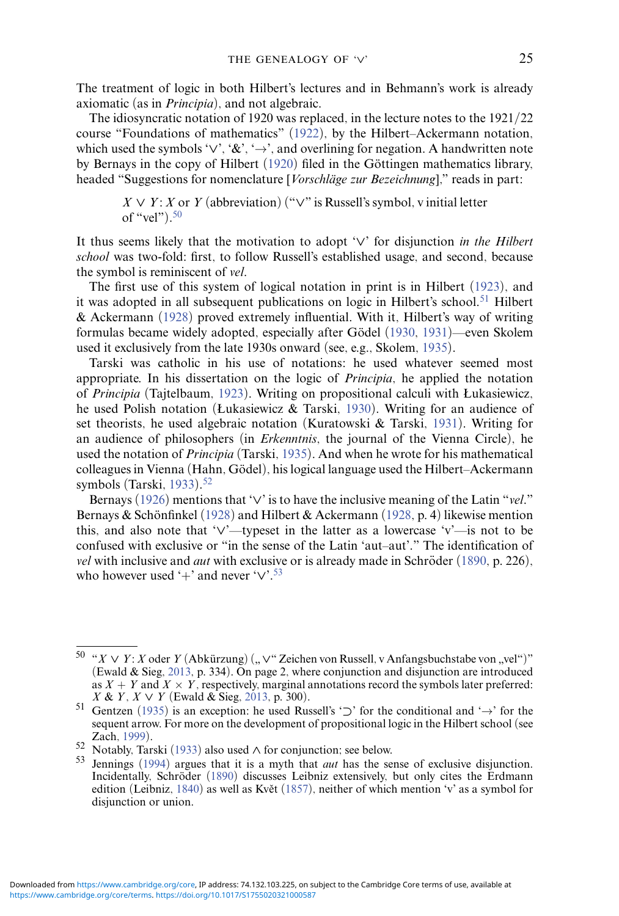The treatment of logic in both Hilbert's lectures and in Behmann's work is already axiomatic (as in *Principia*), and not algebraic.

The idiosyncratic notation of 1920 was replaced, in the lecture notes to the 1921/22 course "Foundations of mathematics" [\(1922\)](#page-31-6), by the Hilbert–Ackermann notation, which used the symbols '*∨*', '&', '→', and overlining for negation. A handwritten note by Bernays in the copy of Hilbert  $(1920)$  filed in the Göttingen mathematics library, headed "Suggestions for nomenclature [*Vorschläge zur Bezeichnung*]," reads in part:

 $X \vee Y$ : *X* or *Y* (abbreviation) (" $\vee$ " is Russell's symbol, v initial letter of "vel" $)$ .<sup>50</sup>

It thus seems likely that the motivation to adopt '*∨*' for disjunction *in the Hilbert school* was two-fold: first, to follow Russell's established usage, and second, because the symbol is reminiscent of *vel*.

The first use of this system of logical notation in print is in Hilbert [\(1923\)](#page-32-16), and it was adopted in all subsequent publications on logic in Hilbert's school.<sup>51</sup> Hilbert & Ackermann [\(1928\)](#page-32-14) proved extremely influential. With it, Hilbert's way of writing formulas became widely adopted, especially after Gödel ([1930,](#page-31-7) [1931\)](#page-31-8)—even Skolem used it exclusively from the late 1930s onward (see, e.g., Skolem, [1935\)](#page-36-15).

Tarski was catholic in his use of notations: he used whatever seemed most appropriate. In his dissertation on the logic of *Principia*, he applied the notation of *Principia* (Tajtelbaum, [1923\)](#page-36-16). Writing on propositional calculi with Łukasiewicz, he used Polish notation (Łukasiewicz & Tarski, [1930\)](#page-33-19). Writing for an audience of set theorists, he used algebraic notation (Kuratowski & Tarski, [1931\)](#page-32-17). Writing for an audience of philosophers (in *Erkenntnis*, the journal of the Vienna Circle), he used the notation of *Principia* (Tarski, [1935\)](#page-36-17). And when he wrote for his mathematical colleagues in Vienna (Hahn, Gödel), his logical language used the Hilbert–Ackermann symbols (Tarski, [1933\)](#page-36-18).<sup>52</sup>

Bernays [\(1926\)](#page-30-18) mentions that '*∨*' is to have the inclusive meaning of the Latin "*vel*." Bernays & Schönfinkel ([1928\)](#page-30-19) and Hilbert & Ackermann [\(1928,](#page-32-14) p. 4) likewise mention this, and also note that '*∨*'—typeset in the latter as a lowercase 'v'—is not to be confused with exclusive or "in the sense of the Latin 'aut–aut'." The identification of *vel* with inclusive and *aut* with exclusive or is already made in Schröder  $(1890, p. 226)$  $(1890, p. 226)$  $(1890, p. 226)$ , who however used '+' and never '*∨*'[.53](#page-24-3)

<span id="page-24-0"></span><sup>50 &</sup>quot;*X* ∨ *Y*: *X* oder *Y* (Abkürzung) ("∨" Zeichen von Russell, v Anfangsbuchstabe von "vel")"<br>(Ewald & Sieg 2013, p. 334). On page 2, where conjunction and disjunction are introduced (Ewald & Sieg, [2013,](#page-30-20) p. 334). On page 2, where conjunction and disjunction are introduced as *X* + *Y* and *X* × *Y*, respectively, marginal annotations record the symbols later preferred: *X* & *Y*, *X*  $\vee$  *Y* (Ewald & Sieg, 2013, p. 300).

<span id="page-24-1"></span><sup>&</sup>lt;sup>51</sup> Gentzen [\(1935\)](#page-31-9) is an exception: he used Russell's '⊃' for the conditional and '→' for the sequent arrow. For more on the development of propositional logic in the Hilbert school (see Zach, 1999).

<span id="page-24-3"></span><span id="page-24-2"></span>

Zach, [1999\)](#page-37-4). <sup>52</sup> Notably, Tarski [\(1933\)](#page-36-18) also used *<sup>∧</sup>* for conjunction; see below. <sup>53</sup> Jennings [\(1994\)](#page-32-1) argues that it is a myth that *aut* has the sense of exclusive disjunction. Incidentally, Schröder ([1890\)](#page-36-5) discusses Leibniz extensively, but only cites the Erdmann edition (Leibniz, [1840\)](#page-32-18) as well as Květ ([1857\)](#page-32-19), neither of which mention 'v' as a symbol for disjunction or union.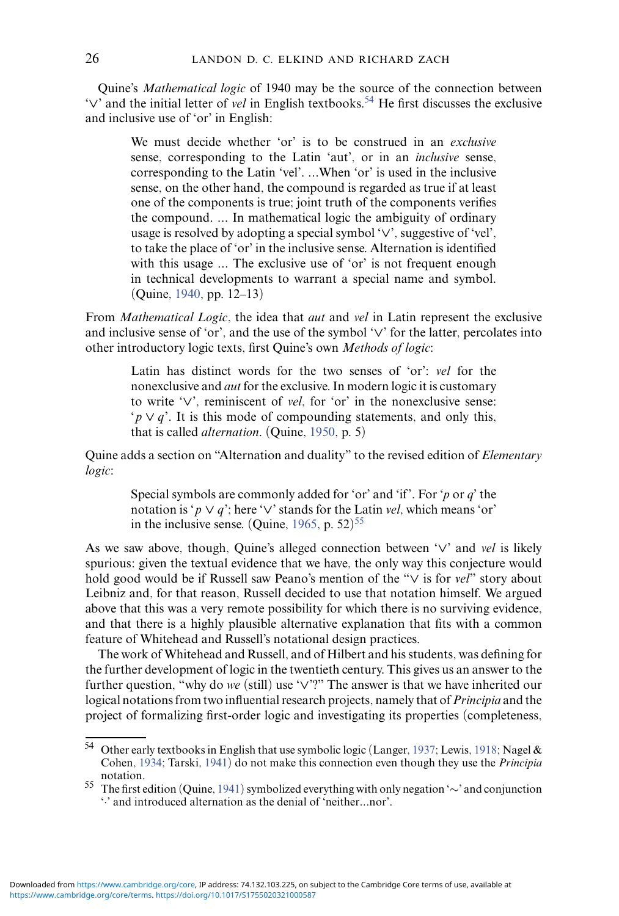Quine's *Mathematical logic* of 1940 may be the source of the connection between '*∨*' and the initial letter of *vel* in English textbooks[.54](#page-25-0) He first discusses the exclusive and inclusive use of 'or' in English:

We must decide whether 'or' is to be construed in an *exclusive* sense, corresponding to the Latin 'aut', or in an *inclusive* sense, corresponding to the Latin 'vel'. *...*When 'or' is used in the inclusive sense, on the other hand, the compound is regarded as true if at least one of the components is true; joint truth of the components verifies the compound. *...* In mathematical logic the ambiguity of ordinary usage is resolved by adopting a special symbol '*∨*', suggestive of 'vel', to take the place of 'or' in the inclusive sense. Alternation is identified with this usage ... The exclusive use of 'or' is not frequent enough in technical developments to warrant a special name and symbol. (Quine, [1940,](#page-34-18) pp. 12–13)

From *Mathematical Logic*, the idea that *aut* and *vel* in Latin represent the exclusive and inclusive sense of 'or', and the use of the symbol '*∨*' for the latter, percolates into other introductory logic texts, first Quine's own *Methods of logic*:

Latin has distinct words for the two senses of 'or': *vel* for the nonexclusive and *aut* for the exclusive. In modern logic it is customary to write '*∨*', reminiscent of *vel*, for 'or' in the nonexclusive sense: '*p ∨ q*'. It is this mode of compounding statements, and only this, that is called *alternation*. (Quine, [1950,](#page-35-16) p. 5)

Quine adds a section on "Alternation and duality" to the revised edition of *Elementary logic*:

Special symbols are commonly added for 'or' and 'if'. For '*p* or *q*' the notation is ' $p \vee q$ '; here ' $\vee$ ' stands for the Latin *vel*, which means 'or' in the inclusive sense. (Quine,  $1965$ , p.  $52$ )<sup>55</sup>

As we saw above, though, Quine's alleged connection between '*∨*' and *vel* is likely spurious: given the textual evidence that we have, the only way this conjecture would hold good would be if Russell saw Peano's mention of the "*∨* is for *vel*" story about Leibniz and, for that reason, Russell decided to use that notation himself. We argued above that this was a very remote possibility for which there is no surviving evidence, and that there is a highly plausible alternative explanation that fits with a common feature of Whitehead and Russell's notational design practices.

The work of Whitehead and Russell, and of Hilbert and his students, was defining for the further development of logic in the twentieth century. This gives us an answer to the further question, "why do *we* (still) use '*∨*'?" The answer is that we have inherited our logical notations from two influential research projects, namely that of*Principia* and the project of formalizing first-order logic and investigating its properties (completeness,

<span id="page-25-0"></span><sup>54</sup> Other early textbooks in English that use symbolic logic (Langer, [1937;](#page-32-12) Lewis, [1918;](#page-33-14) Nagel & Cohen, [1934;](#page-33-15) Tarski, [1941\)](#page-36-19) do not make this connection even though they use the *Principia* notation.

<span id="page-25-1"></span><sup>55</sup> The first edition (Quine, [1941\)](#page-35-18) symbolized everything with only negation '∼' and conjunction '·' and introduced alternation as the denial of 'neither*...*nor'.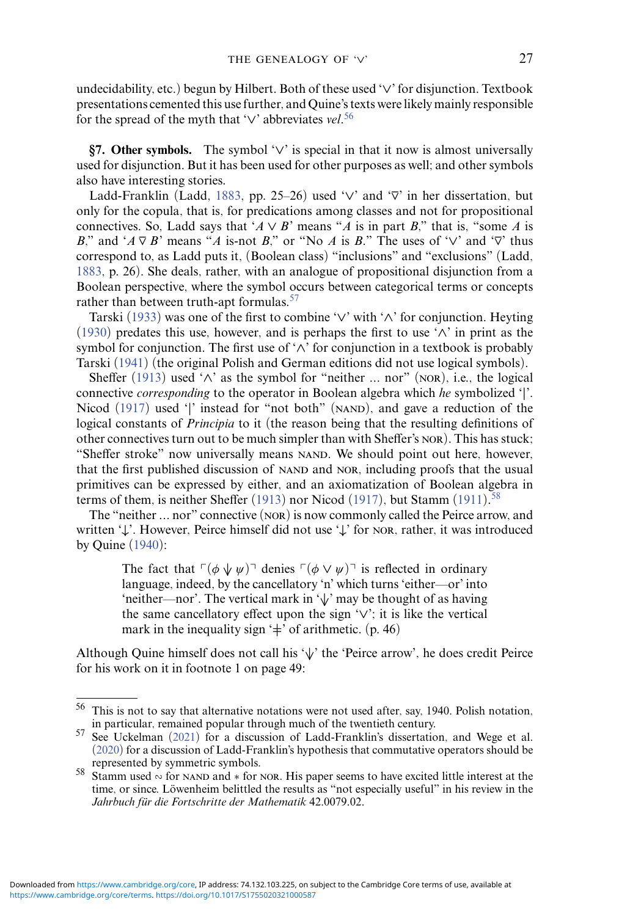undecidability, etc.) begun by Hilbert. Both of these used '*∨*' for disjunction. Textbook presentations cemented this use further, and Quine's texts were likely mainly responsible for the spread of the myth that '*∨*' abbreviates *vel*. [56](#page-26-0)

**§7. Other symbols.** The symbol '*∨*' is special in that it now is almost universally used for disjunction. But it has been used for other purposes as well; and other symbols also have interesting stories.

Ladd-Franklin (Ladd, [1883,](#page-32-6) pp. 25–26) used '*∨*' and '⊽' in her dissertation, but only for the copula, that is, for predications among classes and not for propositional connectives. So, Ladd says that ' $A \vee B$ ' means " $\overline{A}$  is in part  $B$ ," that is, "some  $\overline{A}$  is *B*," and ' $A \nabla B$ ' means "*A* is-not *B*," or "No *A* is *B*," The uses of ' $\vee$ ' and ' $\nabla$ ' thus correspond to, as Ladd puts it, (Boolean class) "inclusions" and "exclusions" (Ladd, [1883,](#page-32-6) p. 26). She deals, rather, with an analogue of propositional disjunction from a Boolean perspective, where the symbol occurs between categorical terms or concepts rather than between truth-apt formulas.<sup>57</sup>

Tarski [\(1933\)](#page-36-18) was one of the first to combine '*∨*' with '*∧*' for conjunction. Heyting [\(1930\)](#page-31-10) predates this use, however, and is perhaps the first to use '*∧*' in print as the symbol for conjunction. The first use of '*∧*' for conjunction in a textbook is probably Tarski [\(1941\)](#page-36-19) (the original Polish and German editions did not use logical symbols).

Sheffer [\(1913\)](#page-36-11) used '*∧*' as the symbol for "neither *...* nor" (nor), i.e., the logical connective *corresponding* to the operator in Boolean algebra which *he* symbolized '*|*'. Nicod [\(1917\)](#page-33-9) used '|' instead for "not both" (NAND), and gave a reduction of the logical constants of *Principia* to it (the reason being that the resulting definitions of other connectives turn out to be much simpler than with Sheffer's nor). This has stuck; "Sheffer stroke" now universally means NAND. We should point out here, however, that the first published discussion of nand and nor, including proofs that the usual primitives can be expressed by either, and an axiomatization of Boolean algebra in terms of them, is neither Sheffer [\(1913\)](#page-36-11) nor Nicod [\(1917\)](#page-33-9), but Stamm [\(1911\)](#page-36-20).<sup>58</sup>

The "neither *...* nor" connective (nor) is now commonly called the Peirce arrow, and written '*↓*'. However, Peirce himself did not use '*↓*' for nor, rather, it was introduced by Quine [\(1940\)](#page-34-18):

The fact that  $\lceil (\phi \lor \psi) \rceil$  denies  $\lceil (\phi \lor \psi) \rceil$  is reflected in ordinary language, indeed, by the cancellatory 'n' which turns 'either—or' into 'neither—nor'. The vertical mark in '*∨|* ' may be thought of as having the same cancellatory effect upon the sign '*∨*'; it is like the vertical mark in the inequality sign ' $\neq$ ' of arithmetic. (p. 46)

Although Quine himself does not call his '*∨|* ' the 'Peirce arrow', he does credit Peirce for his work on it in footnote 1 on page 49:

<span id="page-26-0"></span> $56$  This is not to say that alternative notations were not used after, say, 1940. Polish notation, in particular, remained popular through much of the twentieth century.

<span id="page-26-1"></span><sup>&</sup>lt;sup>57</sup> See Uckelman [\(2021\)](#page-36-21) for a discussion of Ladd-Franklin's dissertation, and Wege et al. [\(2020\)](#page-36-22) for a discussion of Ladd-Franklin's hypothesis that commutative operators should be

<span id="page-26-2"></span>represented by symmetric symbols. <sup>58</sup> Stamm used <sup>∾</sup> for nand and <sup>∗</sup> for nor. His paper seems to have excited little interest at the time, or since. Löwenheim belittled the results as "not especially useful" in his review in the *Jahrbuch für die Fortschritte der Mathematik* 42.0079.02.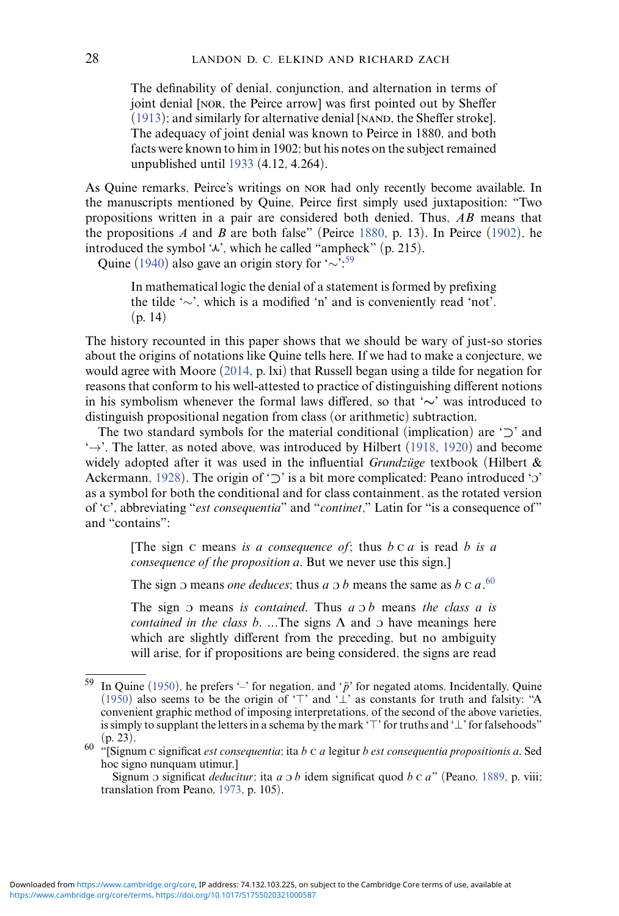The definability of denial, conjunction, and alternation in terms of joint denial [nor, the Peirce arrow] was first pointed out by Sheffer  $(1913)$ ; and similarly for alternative denial [NAND, the Sheffer stroke]. The adequacy of joint denial was known to Peirce in 1880, and both facts were known to him in 1902; but his notes on the subject remained unpublished until [1933](#page-34-19) (4.12, 4.264).

As Quine remarks, Peirce's writings on nor had only recently become available. In the manuscripts mentioned by Quine, Peirce first simply used juxtaposition: "Two propositions written in a pair are considered both denied. Thus, *AB* means that the propositions *A* and *B* are both false" (Peirce [1880,](#page-34-20) p. 13). In Peirce [\(1902\)](#page-34-2), he introduced the symbol  $\mathcal{L}$ , which he called "ampheck" (p. 215).

Quine [\(1940\)](#page-34-18) also gave an origin story for '∼'[:59](#page-27-0)

In mathematical logic the denial of a statement is formed by prefixing the tilde '∼', which is a modified 'n' and is conveniently read 'not'.  $(n. 14)$ 

The history recounted in this paper shows that we should be wary of just-so stories about the origins of notations like Quine tells here. If we had to make a conjecture, we would agree with Moore [\(2014,](#page-33-0) p. lxi) that Russell began using a tilde for negation for reasons that conform to his well-attested to practice of distinguishing different notions in his symbolism whenever the formal laws differed, so that '*∼*' was introduced to distinguish propositional negation from class (or arithmetic) subtraction.

The two standard symbols for the material conditional (implication) are '*⊃*' and  $\rightarrow$ . The latter, as noted above, was introduced by Hilbert [\(1918,](#page-31-11) [1920\)](#page-31-5) and become widely adopted after it was used in the influential *Grundzuge* textbook (Hilbert & Ackermann, [1928\)](#page-32-14). The origin of '⊃' is a bit more complicated: Peano introduced 'o' as a symbol for both the conditional and for class containment, as the rotated version of 'c', abbreviating "*est consequentia*" and "*continet*," Latin for "is a consequence of" and "contains":

[The sign c means *is a consequence of;* thus *b* c *a* is read *b is a consequence of the proposition a*. But we never use this sign.]

The sign  $\sigma$  means *one deduces*; thus *a*  $\sigma$ *b* means the same as *b* c *a*.<sup>[60](#page-27-1)</sup>

The sign  $\sigma$  means *is contained*. Thus  $a \sigma b$  means *the class a is contained in the class b.* ...The signs  $\Lambda$  and  $\sigma$  have meanings here which are slightly different from the preceding, but no ambiguity will arise, for if propositions are being considered, the signs are read

<span id="page-27-0"></span><sup>&</sup>lt;sup>59</sup> In Ouine [\(1950\)](#page-35-16), he prefers '-' for negation, and ' $\bar{p}$ ' for negated atoms. Incidentally, Quine [\(1950\)](#page-35-16) also seems to be the origin of ' $\top$ ' and ' $\bot$ ' as constants for truth and falsity: "A convenient graphic method of imposing interpretations, of the second of the above varieties, is simply to supplant the letters in a schema by the mark '⊤' for truths and '⊥' for falsehoods" (p. 23).

<span id="page-27-1"></span><sup>(</sup>p. 23). <sup>60</sup> "[Signum <sup>c</sup> significat *est consequentia;* ita *<sup>b</sup>* <sup>c</sup> *<sup>a</sup>* legitur *b est consequentia propositionis a*. Sed hoc signo nunquam utimur.]

Signum o significat *deducitur*; ita *a* o *b* idem significat quod *b* c *a*" (Peano, [1889,](#page-34-11) p. viii; translation from Peano, [1973,](#page-34-9) p. 105).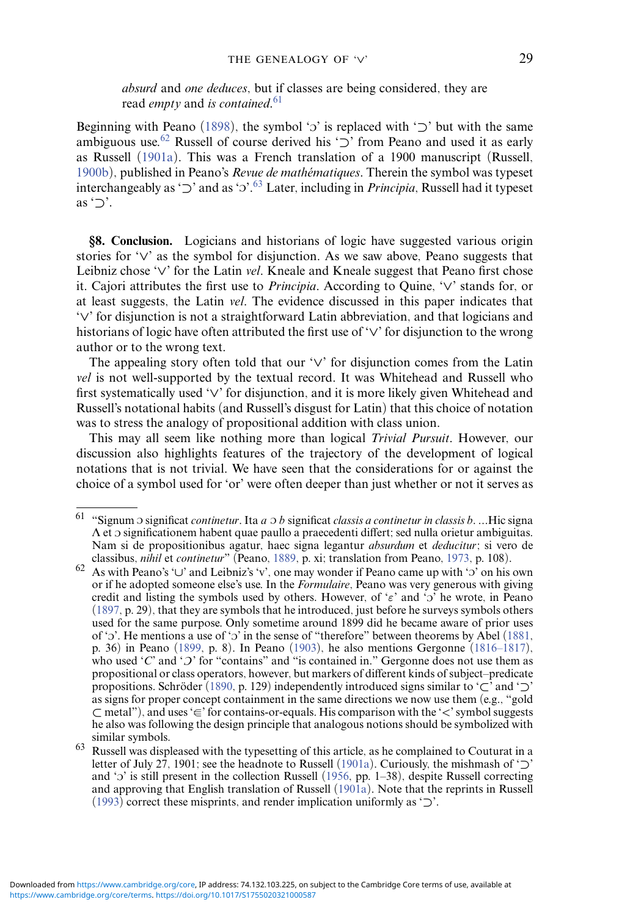*absurd* and *one deduces*, but if classes are being considered, they are read *empty* and *is contained*. [61](#page-28-0)

Beginning with Peano [\(1898\)](#page-34-21), the symbol '*ɔ*' is replaced with '⊃' but with the same ambiguous use[.62](#page-28-1) Russell of course derived his '*⊃*' from Peano and used it as early as Russell [\(1901a\)](#page-35-14). This was a French translation of a 1900 manuscript (Russell, [1900b\)](#page-35-19), published in Peano's *Revue de mathematiques ´* . Therein the symbol was typeset interchangeably as '⊃' and as 'o'.<sup>[63](#page-28-2)</sup> Later, including in *Principia*, Russell had it typeset as '*⊃*'.

**§8. Conclusion.** Logicians and historians of logic have suggested various origin stories for '*∨*' as the symbol for disjunction. As we saw above, Peano suggests that Leibniz chose '*∨*' for the Latin *vel*. Kneale and Kneale suggest that Peano first chose it. Cajori attributes the first use to *Principia*. According to Quine, '*∨*' stands for, or at least suggests, the Latin *vel*. The evidence discussed in this paper indicates that '*∨*' for disjunction is not a straightforward Latin abbreviation, and that logicians and historians of logic have often attributed the first use of '*∨*' for disjunction to the wrong author or to the wrong text.

The appealing story often told that our '*∨*' for disjunction comes from the Latin *vel* is not well-supported by the textual record. It was Whitehead and Russell who first systematically used '*∨*' for disjunction, and it is more likely given Whitehead and Russell's notational habits (and Russell's disgust for Latin) that this choice of notation was to stress the analogy of propositional addition with class union.

This may all seem like nothing more than logical *Trivial Pursuit*. However, our discussion also highlights features of the trajectory of the development of logical notations that is not trivial. We have seen that the considerations for or against the choice of a symbol used for 'or' were often deeper than just whether or not it serves as

<span id="page-28-0"></span><sup>61</sup> "Signum <sup>c</sup> significat *continetur*. Ita *a* <sup>c</sup> *b* significat *classis a continetur in classis b*. *...*Hic signa  $\Lambda$  et  $\sigma$  significationem habent quae paullo a praecedenti differt; sed nulla orietur ambiguitas. Nam si de propositionibus agatur, haec signa legantur *absurdum* et *deducitur*; si vero de classibus, *nihil* et *continetur*" (Peano, 1889, p. xi; translation from Peano, 1973, p. 108).

<span id="page-28-1"></span>classibus, *nihil* et *continetur*" (Peano, [1889,](#page-34-11) p. xi; translation from Peano, [1973,](#page-34-9) p. 108).<br><sup>62</sup> As with Peano's '∪' and Leibniz's 'v', one may wonder if Peano came up with 'o' on his own or if he adopted someone else's use. In the *Formulaire*, Peano was very generous with giving credit and listing the symbols used by others. However, of '*ε*' and 'o' he wrote, in Peano [\(1897,](#page-34-10) p. 29), that they are symbols that he introduced, just before he surveys symbols others used for the same purpose. Only sometime around 1899 did he became aware of prior uses of ' $\sigma$ '. He mentions a use of ' $\sigma$ ' in the sense of "therefore" between theorems by Abel [\(1881,](#page-29-1) p. 36) in Peano [\(1899,](#page-34-16) p. 8). In Peano [\(1903\)](#page-34-22), he also mentions Gergonne [\(1816–1817\)](#page-31-12), who used ' $C'$  and ' $D'$  for "contains" and "is contained in." Gergonne does not use them as propositional or class operators, however, but markers of different kinds of subject–predicate propositions. Schroder ( ¨ [1890,](#page-36-5) p. 129) independently introduced signs similar to '*⊂*' and '*⊃*' as signs for proper concept containment in the same directions we now use them (e.g., "gold *⊂* metal"), and uses '=' for contains-or-equals. His comparison with the ' ⊂ *<*' symbol suggests he also was following the design principle that analogous notions should be symbolized with

<span id="page-28-2"></span><sup>63</sup> Russell was displeased with the typesetting of this article, as he complained to Couturat in a letter of July 27, 1901; see the headnote to Russell [\(1901a\)](#page-35-14). Curiously, the mishmash of '*⊃*' and '3' is still present in the collection Russell [\(1956,](#page-35-20) pp. 1–38), despite Russell correcting and approving that English translation of Russell [\(1901a\)](#page-35-14). Note that the reprints in Russell [\(1993\)](#page-35-21) correct these misprints, and render implication uniformly as '*⊃*'.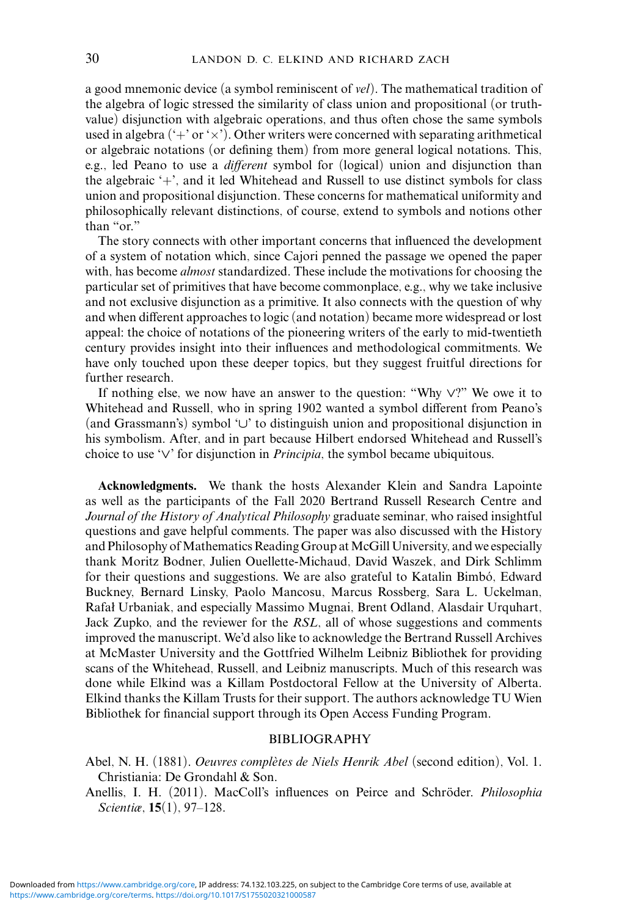a good mnemonic device (a symbol reminiscent of *vel*). The mathematical tradition of the algebra of logic stressed the similarity of class union and propositional (or truthvalue) disjunction with algebraic operations, and thus often chose the same symbols used in algebra  $(+\cdot)$  or  $(\times)$ . Other writers were concerned with separating arithmetical or algebraic notations (or defining them) from more general logical notations. This, e.g., led Peano to use a *different* symbol for (logical) union and disjunction than the algebraic '+', and it led Whitehead and Russell to use distinct symbols for class union and propositional disjunction. These concerns for mathematical uniformity and philosophically relevant distinctions, of course, extend to symbols and notions other than "or."

The story connects with other important concerns that influenced the development of a system of notation which, since Cajori penned the passage we opened the paper with, has become *almost* standardized. These include the motivations for choosing the particular set of primitives that have become commonplace, e.g., why we take inclusive and not exclusive disjunction as a primitive. It also connects with the question of why and when different approaches to logic (and notation) became more widespread or lost appeal: the choice of notations of the pioneering writers of the early to mid-twentieth century provides insight into their influences and methodological commitments. We have only touched upon these deeper topics, but they suggest fruitful directions for further research.

If nothing else, we now have an answer to the question: "Why *∨*?" We owe it to Whitehead and Russell, who in spring 1902 wanted a symbol different from Peano's (and Grassmann's) symbol '*∪*' to distinguish union and propositional disjunction in his symbolism. After, and in part because Hilbert endorsed Whitehead and Russell's choice to use '*∨*' for disjunction in *Principia*, the symbol became ubiquitous.

**Acknowledgments.** We thank the hosts Alexander Klein and Sandra Lapointe as well as the participants of the Fall 2020 Bertrand Russell Research Centre and *Journal of the History of Analytical Philosophy* graduate seminar, who raised insightful questions and gave helpful comments. The paper was also discussed with the History and Philosophy of Mathematics Reading Group at McGill University, and we especially thank Moritz Bodner, Julien Ouellette-Michaud, David Waszek, and Dirk Schlimm for their questions and suggestions. We are also grateful to Katalin Bimbó, Edward Buckney, Bernard Linsky, Paolo Mancosu, Marcus Rossberg, Sara L. Uckelman, Rafał Urbaniak, and especially Massimo Mugnai, Brent Odland, Alasdair Urquhart, Jack Zupko, and the reviewer for the *RSL*, all of whose suggestions and comments improved the manuscript. We'd also like to acknowledge the Bertrand Russell Archives at McMaster University and the Gottfried Wilhelm Leibniz Bibliothek for providing scans of the Whitehead, Russell, and Leibniz manuscripts. Much of this research was done while Elkind was a Killam Postdoctoral Fellow at the University of Alberta. Elkind thanks the Killam Trusts for their support. The authors acknowledge TU Wien Bibliothek for financial support through its Open Access Funding Program.

#### BIBLIOGRAPHY

<span id="page-29-0"></span>Anellis, I. H. (2011). MacColl's influences on Peirce and Schröder. *Philosophia Scientiæ*, **15**(1), 97–128.

<span id="page-29-1"></span>Abel, N. H. (1881). *Oeuvres completes de Niels Henrik Abel `* (second edition), Vol. 1. Christiania: De Grondahl & Son.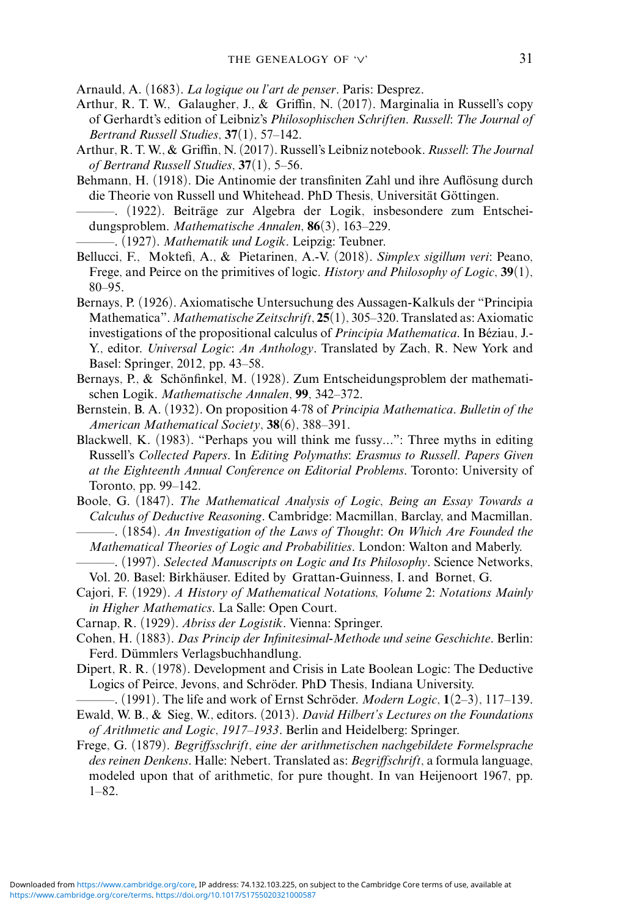<span id="page-30-2"></span>Arnauld, A. (1683). *La logique ou l'art de penser*. Paris: Desprez.

- <span id="page-30-11"></span>Arthur, R. T. W., Galaugher, J., & Griffin, N. (2017). Marginalia in Russell's copy of Gerhardt's edition of Leibniz's *Philosophischen Schriften*. *Russell: The Journal of Bertrand Russell Studies*, **37**(1), 57–142.
- <span id="page-30-10"></span>Arthur, R. T. W., & Griffin, N. (2017). Russell's Leibniz notebook. *Russell: The Journal of Bertrand Russell Studies*, **37**(1), 5–56.
- <span id="page-30-15"></span>Behmann, H. (1918). Die Antinomie der transfiniten Zahl und ihre Auflösung durch die Theorie von Russell und Whitehead. PhD Thesis, Universität Göttingen.
- <span id="page-30-16"></span>———. (1922). Beitrage zur Algebra der Logik, insbesondere zum Entschei- ¨ dungsproblem. *Mathematische Annalen*, **86**(3), 163–229.
	- ———. (1927). *Mathematik und Logik*. Leipzig: Teubner.
- <span id="page-30-17"></span><span id="page-30-9"></span>Bellucci, F., Moktefi, A., & Pietarinen, A.-V. (2018). *Simplex sigillum veri*: Peano, Frege, and Peirce on the primitives of logic. *History and Philosophy of Logic*, **39**(1), 80–95.
- <span id="page-30-18"></span>Bernays, P. (1926). Axiomatische Untersuchung des Aussagen-Kalkuls der "Principia Mathematica".*Mathematische Zeitschrift*, **25**(1), 305–320. Translated as: Axiomatic investigations of the propositional calculus of *Principia Mathematica*. In Béziau, J.-Y., editor. *Universal Logic*: *An Anthology*. Translated by Zach, R. New York and Basel: Springer, 2012, pp. 43–58.
- <span id="page-30-19"></span>Bernays, P., & Schönfinkel, M. (1928). Zum Entscheidungsproblem der mathematischen Logik. *Mathematische Annalen*, **99**, 342–372.
- <span id="page-30-1"></span>Bernstein, B. A. (1932). On proposition 4·78 of *Principia Mathematica*. *Bulletin of the American Mathematical Society*, **38**(6), 388–391.
- <span id="page-30-13"></span>Blackwell, K. (1983). "Perhaps you will think me fussy*...*": Three myths in editing Russell's *Collected Papers*. In *Editing Polymaths: Erasmus to Russell. Papers Given at the Eighteenth Annual Conference on Editorial Problems*. Toronto: University of Toronto, pp. 99–142.
- <span id="page-30-3"></span>Boole, G. (1847). *The Mathematical Analysis of Logic, Being an Essay Towards a Calculus of Deductive Reasoning*. Cambridge: Macmillan, Barclay, and Macmillan.
- <span id="page-30-4"></span>———. (1854). *An Investigation of the Laws of Thought: On Which Are Founded the Mathematical Theories of Logic and Probabilities*. London: Walton and Maberly.
- <span id="page-30-5"></span>———. (1997). *Selected Manuscripts on Logic and Its Philosophy*. Science Networks, Vol. 20. Basel: Birkhäuser. Edited by Grattan-Guinness, I. and Bornet, G.

<span id="page-30-0"></span>Cajori, F. (1929). *A History of Mathematical Notations, Volume 2: Notations Mainly in Higher Mathematics*. La Salle: Open Court.

- <span id="page-30-14"></span>Carnap, R. (1929). *Abriss der Logistik*. Vienna: Springer.
- <span id="page-30-12"></span>Cohen, H. (1883). *Das Princip der Infinitesimal-Methode und seine Geschichte*. Berlin: Ferd. Dümmlers Verlagsbuchhandlung.
- <span id="page-30-8"></span>Dipert, R. R. (1978). Development and Crisis in Late Boolean Logic: The Deductive Logics of Peirce, Jevons, and Schröder. PhD Thesis, Indiana University.

<span id="page-30-7"></span> $-$ , (1991). The life and work of Ernst Schröder. *Modern Logic*,  $1(2-3)$ , 117–139.

- <span id="page-30-20"></span>Ewald, W. B., & Sieg, W., editors. (2013). *David Hilbert's Lectures on the Foundations of Arithmetic and Logic*, *1917–1933*. Berlin and Heidelberg: Springer.
- <span id="page-30-6"></span>Frege, G. (1879). *Begriffsschrift, eine der arithmetischen nachgebildete Formelsprache des reinen Denkens*. Halle: Nebert. Translated as: *Begriffschrift*, a formula language, modeled upon that of arithmetic, for pure thought. In van Heijenoort 1967, pp. 1–82.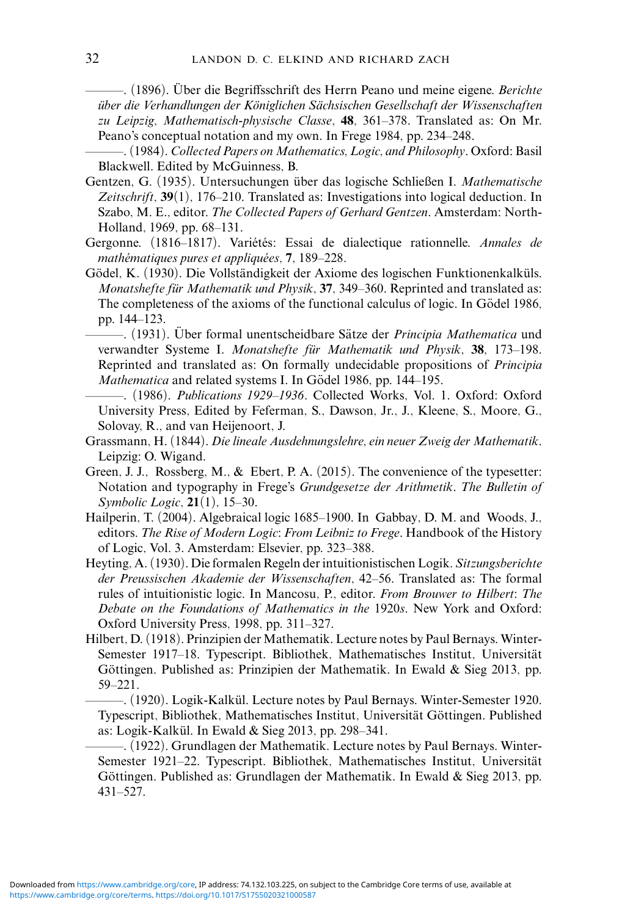<span id="page-31-2"></span>——. (1896). Über die Begriffsschrift des Herrn Peano und meine eigene. *Berichte uber die Verhandlungen der K ¨ oniglichen S ¨ achsischen Gesellschaft der Wissenschaften ¨ zu Leipzig, Mathematisch-physische Classe*, **48**, 361–378. Translated as: On Mr. Peano's conceptual notation and my own. In Frege 1984, pp. 234–248.

<span id="page-31-3"></span>———. (1984). *Collected Papers on Mathematics, Logic, and Philosophy*. Oxford: Basil Blackwell. Edited by McGuinness, B.

- <span id="page-31-9"></span>Gentzen, G. (1935). Untersuchungen über das logische Schließen I. Mathematische *Zeitschrift*, **39**(1), 176–210. Translated as: Investigations into logical deduction. In Szabo, M. E., editor. *The Collected Papers of Gerhard Gentzen*. Amsterdam: North-Holland, 1969, pp. 68–131.
- <span id="page-31-12"></span>Gergonne. (1816–1817). Variétés: Essai de dialectique rationnelle. *Annales de mathématiques pures et appliquées*, 7, 189–228.
- <span id="page-31-8"></span><span id="page-31-7"></span>Gödel, K. (1930). Die Vollständigkeit der Axiome des logischen Funktionenkalküls. *Monatshefte für Mathematik und Physik*, 37, 349–360. Reprinted and translated as: The completeness of the axioms of the functional calculus of logic. In Godel 1986, pp. 144–123.
	- —. (1931). Über formal unentscheidbare Sätze der *Principia Mathematica* und verwandter Systeme I. *Monatshefte für Mathematik und Physik*, 38, 173–198. Reprinted and translated as: On formally undecidable propositions of *Principia Mathematica* and related systems I. In Gödel 1986, pp. 144–195.
	- ———. (1986). *Publications 1929–1936*. Collected Works, Vol. 1. Oxford: Oxford University Press, Edited by Feferman, S., Dawson, Jr., J., Kleene, S., Moore, G., Solovay, R., and van Heijenoort, J.
- <span id="page-31-1"></span>Grassmann, H. (1844). *Die lineale Ausdehnungslehre, ein neuer Zweig der Mathematik*. Leipzig: O. Wigand.
- <span id="page-31-4"></span>Green, J. J., Rossberg, M., & Ebert, P. A. (2015). The convenience of the typesetter: Notation and typography in Frege's *Grundgesetze der Arithmetik*. *The Bulletin of Symbolic Logic*, **21**(1), 15–30.
- <span id="page-31-0"></span>Hailperin, T. (2004). Algebraical logic 1685–1900. In Gabbay, D. M. and Woods, J., editors. *The Rise of Modern Logic: From Leibniz to Frege*. Handbook of the History of Logic, Vol. 3. Amsterdam: Elsevier, pp. 323–388.
- <span id="page-31-10"></span>Heyting, A. (1930). Die formalen Regeln der intuitionistischen Logik. *Sitzungsberichte der Preussischen Akademie der Wissenschaften*, 42–56. Translated as: The formal rules of intuitionistic logic. In Mancosu, P., editor. *From Brouwer to Hilbert*: *The Debate on the Foundations of Mathematics in the 1920s*. New York and Oxford: Oxford University Press, 1998, pp. 311–327.
- <span id="page-31-11"></span>Hilbert, D. (1918). Prinzipien der Mathematik. Lecture notes by Paul Bernays. Winter-Semester 1917–18. Typescript. Bibliothek, Mathematisches Institut, Universitat¨ Göttingen. Published as: Prinzipien der Mathematik. In Ewald & Sieg 2013, pp. 59–221.

<span id="page-31-5"></span>—. (1920). Logik-Kalkül. Lecture notes by Paul Bernays. Winter-Semester 1920. Typescript, Bibliothek, Mathematisches Institut, Universität Göttingen. Published as: Logik-Kalkül. In Ewald  $&$  Sieg 2013, pp. 298–341.

<span id="page-31-6"></span>———. (1922). Grundlagen der Mathematik. Lecture notes by Paul Bernays. Winter-Semester 1921–22. Typescript. Bibliothek, Mathematisches Institut, Universitat¨ Göttingen. Published as: Grundlagen der Mathematik. In Ewald & Sieg 2013, pp. 431–527.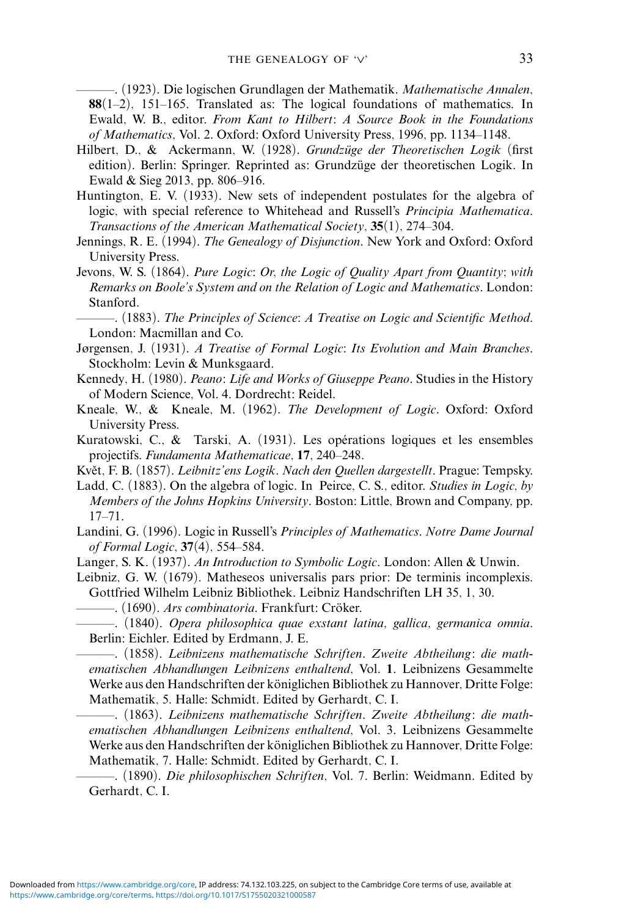<span id="page-32-16"></span>———. (1923). Die logischen Grundlagen der Mathematik. *Mathematische Annalen*, **88**(1–2), 151–165. Translated as: The logical foundations of mathematics. In Ewald, W. B., editor. *From Kant to Hilbert: A Source Book in the Foundations of Mathematics*, Vol. 2. Oxford: Oxford University Press, 1996, pp. 1134–1148.

- <span id="page-32-14"></span>Hilbert, D., & Ackermann, W. (1928). *Grundzüge der Theoretischen Logik* (first edition). Berlin: Springer. Reprinted as: Grundzüge der theoretischen Logik. In Ewald & Sieg 2013, pp. 806–916.
- <span id="page-32-13"></span>Huntington, E. V. (1933). New sets of independent postulates for the algebra of logic, with special reference to Whitehead and Russell's *Principia Mathematica*. *Transactions of the American Mathematical Society*, **35**(1), 274–304.
- <span id="page-32-1"></span>Jennings, R. E. (1994). *The Genealogy of Disjunction*. New York and Oxford: Oxford University Press.
- <span id="page-32-5"></span>Jevons, W. S. (1864). *Pure Logic: Or, the Logic of Quality Apart from Quantity; with Remarks on Boole's System and on the Relation of Logic and Mathematics*. London: Stanford.
- <span id="page-32-4"></span>———. (1883). *The Principles of Science: A Treatise on Logic and Scientific Method*. London: Macmillan and Co.
- <span id="page-32-15"></span>Jørgensen, J. (1931). *A Treatise of Formal Logic: Its Evolution and Main Branches*. Stockholm: Levin & Munksgaard.
- <span id="page-32-9"></span>Kennedy, H. (1980). *Peano: Life and Works of Giuseppe Peano*. Studies in the History of Modern Science, Vol. 4. Dordrecht: Reidel.
- <span id="page-32-0"></span>Kneale, W., & Kneale, M. (1962). *The Development of Logic*. Oxford: Oxford University Press.
- <span id="page-32-17"></span>Kuratowski, C., & Tarski, A. (1931). Les opérations logiques et les ensembles projectifs. *Fundamenta Mathematicae*, **17**, 240–248.
- <span id="page-32-19"></span>Květ, F. B. (1857). Leibnitz'ens Logik. Nach den Quellen dargestellt. Prague: Tempsky.
- <span id="page-32-6"></span>Ladd, C. (1883). On the algebra of logic. In Peirce, C. S., editor. *Studies in Logic, by Members of the Johns Hopkins University*. Boston: Little, Brown and Company, pp. 17–71.
- <span id="page-32-11"></span>Landini, G. (1996). Logic in Russell's *Principles of Mathematics*. *Notre Dame Journal of Formal Logic*, **37**(4), 554–584.
- <span id="page-32-12"></span>Langer, S. K. (1937). *An Introduction to Symbolic Logic*. London: Allen & Unwin.
- <span id="page-32-7"></span><span id="page-32-2"></span>Leibniz, G. W. (1679). Matheseos universalis pars prior: De terminis incomplexis. Gottfried Wilhelm Leibniz Bibliothek. Leibniz Handschriften LH 35, 1, 30.
	- ———. (1690). *Ars combinatoria*. Frankfurt: Croker. ¨
	- ———. (1840). *Opera philosophica quae exstant latina, gallica, germanica omnia*. Berlin: Eichler. Edited by Erdmann, J. E.

<span id="page-32-18"></span><span id="page-32-8"></span>———. (1858). *Leibnizens mathematische Schriften. Zweite Abtheilung: die mathematischen Abhandlungen Leibnizens enthaltend*, Vol. **1**. Leibnizens Gesammelte Werke aus den Handschriften der königlichen Bibliothek zu Hannover, Dritte Folge: Mathematik, 5. Halle: Schmidt. Edited by Gerhardt, C. I.

<span id="page-32-3"></span>———. (1863). *Leibnizens mathematische Schriften. Zweite Abtheilung: die mathematischen Abhandlungen Leibnizens enthaltend*, Vol. 3. Leibnizens Gesammelte Werke aus den Handschriften der königlichen Bibliothek zu Hannover, Dritte Folge: Mathematik, 7. Halle: Schmidt. Edited by Gerhardt, C. I.

<span id="page-32-10"></span>———. (1890). *Die philosophischen Schriften*, Vol. 7. Berlin: Weidmann. Edited by Gerhardt, C. I.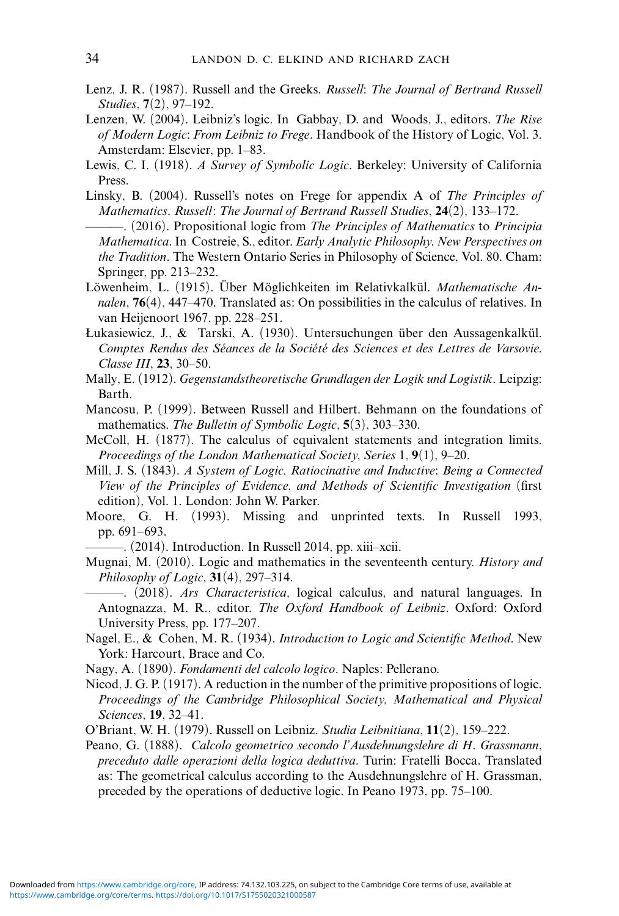- <span id="page-33-11"></span>Lenz, J. R. (1987). Russell and the Greeks. *Russell: The Journal of Bertrand Russell Studies*, **7**(2), 97–192.
- <span id="page-33-4"></span>Lenzen, W. (2004). Leibniz's logic. In Gabbay, D. and Woods, J., editors. *The Rise of Modern Logic: From Leibniz to Frege*. Handbook of the History of Logic, Vol. 3. Amsterdam: Elsevier, pp. 1–83.
- <span id="page-33-14"></span>Lewis, C. I. (1918). *A Survey of Symbolic Logic*. Berkeley: University of California Press.
- <span id="page-33-12"></span>Linsky, B. (2004). Russell's notes on Frege for appendix A of *The Principles of Mathematics*. *Russell: The Journal of Bertrand Russell Studies*, **24**(2), 133–172.
- <span id="page-33-8"></span>———. (2016). Propositional logic from *The Principles of Mathematics* to *Principia Mathematica*. In Costreie, S., editor. *Early Analytic Philosophy. New Perspectives on the Tradition*. The Western Ontario Series in Philosophy of Science, Vol. 80. Cham: Springer, pp. 213–232.
- <span id="page-33-16"></span>Löwenheim, L. (1915). Über Möglichkeiten im Relativkalkül. Mathematische An*nalen*, **76**(4), 447–470. Translated as: On possibilities in the calculus of relatives. In van Heijenoort 1967, pp. 228–251.
- <span id="page-33-19"></span>Łukasiewicz, J., & Tarski, A. (1930). Untersuchungen über den Aussagenkalkül. *Comptes Rendus des Seances de la Soci ´ et´ e des Sciences et des Lettres de Varsovie. ´ Classe III*, **23**, 30–50.
- <span id="page-33-18"></span>Mally, E. (1912). *Gegenstandstheoretische Grundlagen der Logik und Logistik*. Leipzig: Barth.
- <span id="page-33-17"></span>Mancosu, P. (1999). Between Russell and Hilbert. Behmann on the foundations of mathematics. *The Bulletin of Symbolic Logic*, **5**(3), 303–330.
- <span id="page-33-5"></span>McColl, H. (1877). The calculus of equivalent statements and integration limits. *Proceedings of the London Mathematical Society, Series 1*, **9**(1), 9–20.
- <span id="page-33-3"></span>Mill, J. S. (1843). *A System of Logic, Ratiocinative and Inductive: Being a Connected View of the Principles of Evidence, and Methods of Scientific Investigation* (first edition), Vol. 1. London: John W. Parker.
- <span id="page-33-13"></span>Moore, G. H. (1993). Missing and unprinted texts. In Russell 1993, pp. 691–693.
	- ———. (2014). Introduction. In Russell 2014, pp. xiii–xcii.
- <span id="page-33-2"></span><span id="page-33-0"></span>Mugnai, M. (2010). Logic and mathematics in the seventeenth century. *History and Philosophy of Logic*, **31**(4), 297–314.
- <span id="page-33-1"></span>———. (2018). *Ars Characteristica*, logical calculus, and natural languages. In Antognazza, M. R., editor. *The Oxford Handbook of Leibniz*. Oxford: Oxford University Press, pp. 177–207.
- <span id="page-33-15"></span>Nagel, E., & Cohen, M. R. (1934). *Introduction to Logic and Scientific Method*. New York: Harcourt, Brace and Co.
- <span id="page-33-6"></span>Nagy, A. (1890). *Fondamenti del calcolo logico*. Naples: Pellerano.
- <span id="page-33-9"></span>Nicod, J. G. P. (1917). A reduction in the number of the primitive propositions of logic. *Proceedings of the Cambridge Philosophical Society, Mathematical and Physical Sciences*, **19**, 32–41.
- <span id="page-33-10"></span>O'Briant, W. H. (1979). Russell on Leibniz. *Studia Leibnitiana*, **11**(2), 159–222.
- <span id="page-33-7"></span>Peano, G. (1888). *Calcolo geometrico secondo l'Ausdehnungslehre di H. Grassmann, preceduto dalle operazioni della logica deduttiva*. Turin: Fratelli Bocca. Translated as: The geometrical calculus according to the Ausdehnungslehre of H. Grassman, preceded by the operations of deductive logic. In Peano 1973, pp. 75–100.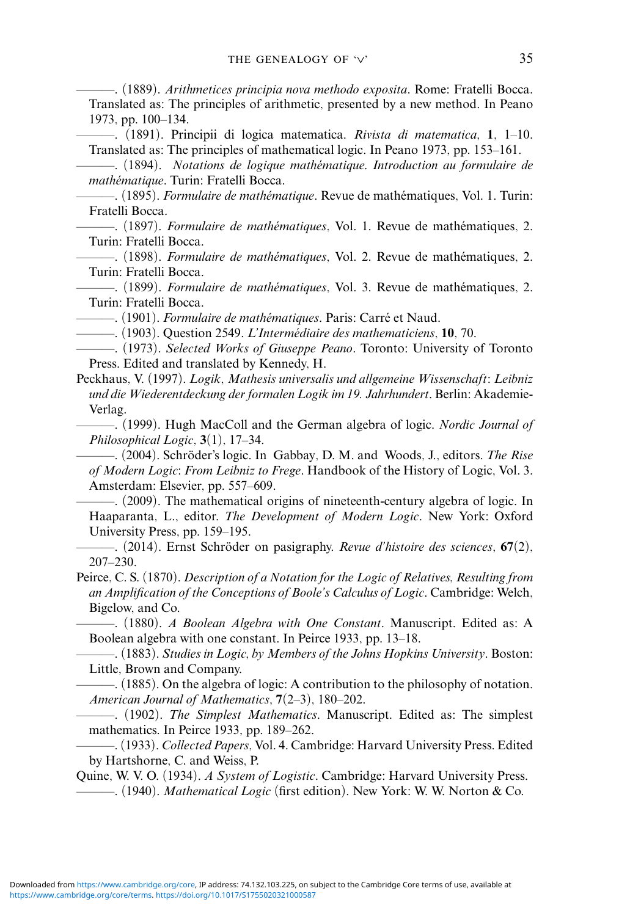<span id="page-34-11"></span>———. (1889). *Arithmetices principia nova methodo exposita*. Rome: Fratelli Bocca. Translated as: The principles of arithmetic, presented by a new method. In Peano 1973, pp. 100–134.

<span id="page-34-12"></span>———. (1891). Principii di logica matematica. *Rivista di matematica*, **1**, 1–10. Translated as: The principles of mathematical logic. In Peano 1973, pp. 153–161.

<span id="page-34-15"></span>———. (1894). *Notations de logique mathematique. Introduction au formulaire de ´ mathematique ´* . Turin: Fratelli Bocca.

<span id="page-34-14"></span>———. (1895). *Formulaire de mathematique ´* . Revue de mathematiques, Vol. 1. Turin: ´ Fratelli Bocca.

<span id="page-34-10"></span>———. (1897). *Formulaire de mathematiques ´* , Vol. 1. Revue de mathematiques, 2. ´ Turin: Fratelli Bocca.

<span id="page-34-21"></span>———. (1898). *Formulaire de mathematiques ´* , Vol. 2. Revue de mathematiques, 2. ´ Turin: Fratelli Bocca.

<span id="page-34-16"></span>———. (1899). *Formulaire de mathematiques ´* , Vol. 3. Revue de mathematiques, 2. ´ Turin: Fratelli Bocca.

<span id="page-34-13"></span> $-$ . (1901). *Formulaire de mathématiques*. Paris: Carré et Naud.

 $-$ . (1903). Question 2549. *L'Intermédiaire des mathematiciens*, 10, 70.

<span id="page-34-22"></span><span id="page-34-9"></span>———. (1973). *Selected Works of Giuseppe Peano*. Toronto: University of Toronto Press. Edited and translated by Kennedy, H.

<span id="page-34-1"></span>Peckhaus, V. (1997). *Logik, Mathesis universalis und allgemeine Wissenschaft: Leibniz und die Wiederentdeckung der formalen Logik im 19. Jahrhundert*. Berlin: Akademie-Verlag.

<span id="page-34-8"></span>———. (1999). Hugh MacColl and the German algebra of logic. *Nordic Journal of Philosophical Logic*, **3**(1), 17–34.

<span id="page-34-6"></span>———. (2004). Schroder's logic. In Gabbay, D. M. and Woods, J., editors. ¨ *The Rise of Modern Logic: From Leibniz to Frege*. Handbook of the History of Logic, Vol. 3. Amsterdam: Elsevier, pp. 557–609.

<span id="page-34-5"></span>———. (2009). The mathematical origins of nineteenth-century algebra of logic. In Haaparanta, L., editor. *The Development of Modern Logic*. New York: Oxford University Press, pp. 159–195.

<span id="page-34-7"></span>———. (2014). Ernst Schroder on pasigraphy. ¨ *Revue d'histoire des sciences*, **67**(2), 207–230.

<span id="page-34-0"></span>Peirce, C. S. (1870). *Description of a Notation for the Logic of Relatives, Resulting from an Amplification of the Conceptions of Boole's Calculus of Logic*. Cambridge: Welch, Bigelow, and Co.

<span id="page-34-20"></span>———. (1880). *A Boolean Algebra with One Constant*. Manuscript. Edited as: A Boolean algebra with one constant. In Peirce 1933, pp. 13–18.

<span id="page-34-4"></span>———. (1883). *Studies in Logic, by Members of the Johns Hopkins University*. Boston: Little, Brown and Company.

<span id="page-34-3"></span>———. (1885). On the algebra of logic: A contribution to the philosophy of notation. *American Journal of Mathematics*, **7**(2–3), 180–202.

<span id="page-34-2"></span>———. (1902). *The Simplest Mathematics*. Manuscript. Edited as: The simplest mathematics. In Peirce 1933, pp. 189–262.

<span id="page-34-19"></span>———. (1933). *Collected Papers*, Vol. 4. Cambridge: Harvard University Press. Edited by Hartshorne, C. and Weiss, P.

<span id="page-34-17"></span>Quine, W. V. O. (1934). *A System of Logistic*. Cambridge: Harvard University Press.

<span id="page-34-18"></span>———. (1940). *Mathematical Logic* (first edition). New York: W. W. Norton & Co.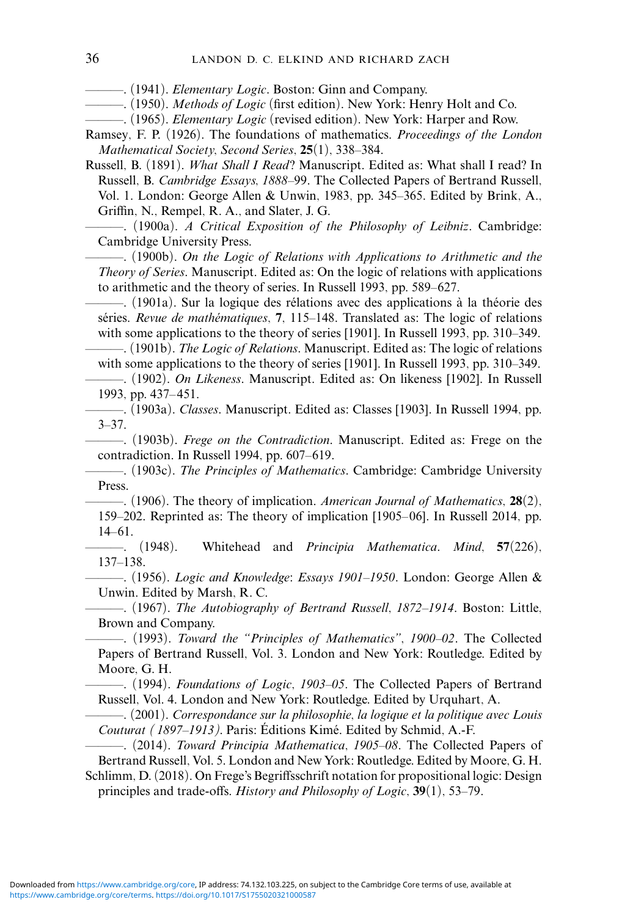<span id="page-35-18"></span><span id="page-35-16"></span>———. (1941). *Elementary Logic*. Boston: Ginn and Company.

———. (1950). *Methods of Logic* (first edition). New York: Henry Holt and Co.

<span id="page-35-17"></span>———. (1965). *Elementary Logic* (revised edition). New York: Harper and Row.

- <span id="page-35-15"></span>Ramsey, F. P. (1926). The foundations of mathematics. *Proceedings of the London Mathematical Society, Second Series*, **25**(1), 338–384.
- <span id="page-35-8"></span>Russell, B. (1891). *What Shall I Read?* Manuscript. Edited as: What shall I read? In Russell, B. *Cambridge Essays, 1888–99*. The Collected Papers of Bertrand Russell, Vol. 1. London: George Allen & Unwin, 1983, pp. 345–365. Edited by Brink, A., Griffin, N., Rempel, R. A., and Slater, J. G.

<span id="page-35-7"></span>———. (1900a). *A Critical Exposition of the Philosophy of Leibniz*. Cambridge: Cambridge University Press.

<span id="page-35-19"></span>———. (1900b). *On the Logic of Relations with Applications to Arithmetic and the Theory of Series*. Manuscript. Edited as: On the logic of relations with applications to arithmetic and the theory of series. In Russell 1993, pp. 589–627.

<span id="page-35-14"></span> $-$ . (1901a). Sur la logique des rélations avec des applications à la théorie des séries. *Revue de mathématiques*, 7, 115–148. Translated as: The logic of relations with some applications to the theory of series [1901]. In Russell 1993, pp. 310–349.

<span id="page-35-3"></span>———. (1901b). *The Logic of Relations*. Manuscript. Edited as: The logic of relations with some applications to the theory of series [1901]. In Russell 1993, pp. 310–349.

<span id="page-35-10"></span>———. (1902). *On Likeness*. Manuscript. Edited as: On likeness [1902]. In Russell 1993, pp. 437– 451.

<span id="page-35-11"></span>———. (1903a). *Classes*. Manuscript. Edited as: Classes [1903]. In Russell 1994, pp. 3–37.

<span id="page-35-12"></span>———. (1903b). *Frege on the Contradiction*. Manuscript. Edited as: Frege on the contradiction. In Russell 1994, pp. 607–619.

<span id="page-35-5"></span>———. (1903c). *The Principles of Mathematics*. Cambridge: Cambridge University Press.

<span id="page-35-4"></span>———. (1906). The theory of implication. *American Journal of Mathematics*, **28**(2), 159–202. Reprinted as: The theory of implication [1905–06]. In Russell 2014, pp. 14–61.

<span id="page-35-1"></span>———. (1948). Whitehead and *Principia Mathematica*. *Mind*, **57**(226), 137–138.

<span id="page-35-20"></span>———. (1956). *Logic and Knowledge: Essays 1901–1950*. London: George Allen & Unwin. Edited by Marsh, R. C.

<span id="page-35-2"></span>———. (1967). *The Autobiography of Bertrand Russell*, *1872–1914*. Boston: Little, Brown and Company.

<span id="page-35-21"></span>———. (1993). *Toward the "Principles of Mathematics"*, *1900–02*. The Collected Papers of Bertrand Russell, Vol. 3. London and New York: Routledge. Edited by Moore, G. H.

<span id="page-35-13"></span>———. (1994). *Foundations of Logic*, *1903–05*. The Collected Papers of Bertrand Russell, Vol. 4. London and New York: Routledge. Edited by Urquhart, A.

<span id="page-35-6"></span>———. (2001). *Correspondance sur la philosophie, la logique et la politique avec Louis Couturat* (1897–1913). Paris: Éditions Kimé. Edited by Schmid, A.-F.

<span id="page-35-9"></span>———. (2014). *Toward Principia Mathematica*, *1905–08*. The Collected Papers of Bertrand Russell, Vol. 5. London and New York: Routledge. Edited by Moore, G. H.

<span id="page-35-0"></span>Schlimm, D. (2018). On Frege's Begriffsschrift notation for propositional logic: Design principles and trade-offs. *History and Philosophy of Logic*, **39**(1), 53–79.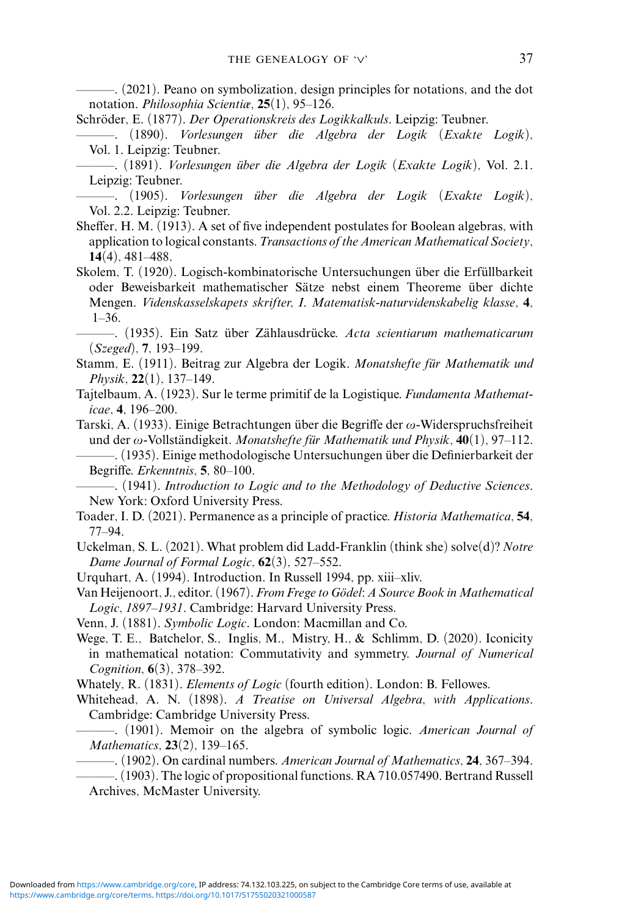<span id="page-36-0"></span>———. (2021). Peano on symbolization, design principles for notations, and the dot notation. *Philosophia Scientiæ*, **25**(1), 95–126.

- <span id="page-36-4"></span>Schröder, E. (1877). *Der Operationskreis des Logikkalkuls*. Leipzig: Teubner.
- <span id="page-36-5"></span>———. (1890). *Vorlesungen uber die Algebra der Logik (Exakte Logik) ¨* , Vol. 1. Leipzig: Teubner.
- <span id="page-36-7"></span>———. (1891). *Vorlesungen uber die Algebra der Logik (Exakte Logik) ¨* , Vol. 2.1. Leipzig: Teubner.
- <span id="page-36-9"></span>———. (1905). *Vorlesungen uber die Algebra der Logik (Exakte Logik) ¨* , Vol. 2.2. Leipzig: Teubner.
- <span id="page-36-11"></span>Sheffer, H. M. (1913). A set of five independent postulates for Boolean algebras, with application to logical constants. *Transactions of the American Mathematical Society*, **14**(4), 481–488.
- <span id="page-36-14"></span>Skolem, T. (1920). Logisch-kombinatorische Untersuchungen über die Erfüllbarkeit oder Beweisbarkeit mathematischer Sätze nebst einem Theoreme über dichte Mengen. *Videnskasselskapets skrifter, I. Matematisk-naturvidenskabelig klasse*, **4**,  $1 - 36$

<span id="page-36-15"></span>———. (1935). Ein Satz uber Z ¨ ahlausdr ¨ ucke. ¨ *Acta scientiarum mathematicarum (Szeged)*, **7**, 193–199.

- <span id="page-36-20"></span>Stamm, E. (1911). Beitrag zur Algebra der Logik. *Monatshefte fur Mathematik und ¨ Physik*, **22**(1), 137–149.
- <span id="page-36-16"></span>Tajtelbaum, A. (1923). Sur le terme primitif de la Logistique. *Fundamenta Mathematicae*, **4**, 196–200.
- <span id="page-36-18"></span>Tarski, A. (1933). Einige Betrachtungen über die Begriffe der  $\omega$ -Widerspruchsfreiheit und der  $\omega$ -Vollständigkeit. *Monatshefte für Mathematik und Physik*,  $\overline{40}(1)$ , 97–112.

<span id="page-36-17"></span>———. (1935). Einige methodologische Untersuchungen uber die Definierbarkeit der ¨ Begriffe. *Erkenntnis*, **5**, 80–100.

<span id="page-36-19"></span>———. (1941). *Introduction to Logic and to the Methodology of Deductive Sciences*. New York: Oxford University Press.

- <span id="page-36-1"></span>Toader, I. D. (2021). Permanence as a principle of practice. *Historia Mathematica*, **54**, 77–94.
- <span id="page-36-21"></span>Uckelman, S. L. (2021). What problem did Ladd-Franklin (think she) solve(d)? *Notre Dame Journal of Formal Logic*, **62**(3), 527–552.
- <span id="page-36-2"></span>Urquhart, A. (1994). Introduction. In Russell 1994, pp. xiii–xliv.

Van Heijenoort, J., editor. (1967). *From Frege to Godel: A Source Book in Mathematical ¨ Logic*, *1897–1931*. Cambridge: Harvard University Press.

<span id="page-36-8"></span>Venn, J. (1881). *Symbolic Logic*. London: Macmillan and Co.

<span id="page-36-22"></span>Wege, T. E., Batchelor, S., Inglis, M., Mistry, H., & Schlimm, D. (2020). Iconicity in mathematical notation: Commutativity and symmetry. *Journal of Numerical Cognition*, **6**(3), 378–392.

<span id="page-36-3"></span>Whately, R. (1831). *Elements of Logic* (fourth edition). London: B. Fellowes.

- <span id="page-36-12"></span>Whitehead, A. N. (1898). *A Treatise on Universal Algebra, with Applications*. Cambridge: Cambridge University Press.
- <span id="page-36-6"></span>———. (1901). Memoir on the algebra of symbolic logic. *American Journal of Mathematics*, **23**(2), 139–165.
- <span id="page-36-10"></span>———. (1902). On cardinal numbers. *American Journal of Mathematics*, **24**, 367–394.
- <span id="page-36-13"></span>———. (1903). The logic of propositional functions. RA 710.057490. Bertrand Russell Archives, McMaster University.